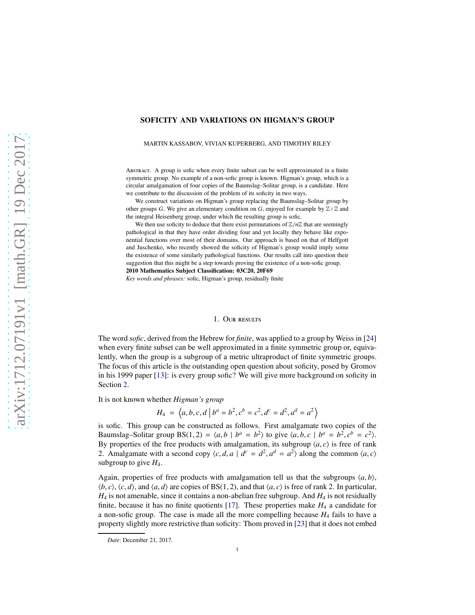# SOFICITY AND VARIATIONS ON HIGMAN'S GROUP

#### MARTIN KASSABOV, VIVIAN KUPERBERG, AND TIMOTHY RILEY

Abstract. A group is sofic when every finite subset can be well approximated in a finite symmetric group. No example of a non-sofic group is known. Higman's group, which is a circular amalgamation of four copies of the Baumslag–Solitar group, is a candidate. Here we contribute to the discussion of the problem of its soficity in two ways.

We construct variations on Higman's group replacing the Baumslag–Solitar group by other groups *G*. We give an elementary condition on *G*, enjoyed for example by  $\mathbb{Z} \wr \mathbb{Z}$  and the integral Heisenberg group, under which the resulting group is sofic.

We then use soficity to deduce that there exist permutations of  $\mathbb{Z}/n\mathbb{Z}$  that are seemingly pathological in that they have order dividing four and yet locally they behave like exponential functions over most of their domains. Our approach is based on that of Helfgott and Juschenko, who recently showed the soficity of Higman's group would imply some the existence of some similarly pathological functions. Our results call into question their suggestion that this might be a step towards proving the existence of a non-sofic group. 2010 Mathematics Subject Classification: 03C20, 20F69

*Key words and phrases:* sofic, Higman's group, residually finite

#### 1. Our results

<span id="page-0-0"></span>The word *sofic*, derived from the Hebrew for *finite*, was applied to a group by Weiss in [\[24\]](#page-26-0) when every finite subset can be well approximated in a finite symmetric group or, equivalently, when the group is a subgroup of a metric ultraproduct of finite symmetric groups. The focus of this article is the outstanding open question about soficity, posed by Gromov in his 1999 paper [\[13\]](#page-26-1): is every group sofic? We will give more background on soficity in Section [2.](#page-3-0)

It is not known whether *Higman's group*

$$
H_4 = \langle a, b, c, d \mid b^a = b^2, c^b = c^2, d^c = d^2, a^d = a^2 \rangle
$$

is sofic. This group can be constructed as follows. First amalgamate two copies of the Baumslag–Solitar group BS(1, 2) =  $\langle a, b | b^a = b^2 \rangle$  to give  $\langle a, b, c | b^a = b^2, c^b = c^2 \rangle$ . By properties of the free products with amalgamation, its subgroup  $\langle a, c \rangle$  is free of rank 2. Amalgamate with a second copy  $\langle c, d, a \mid d^c = d^2, a^d = a^2 \rangle$  along the common  $\langle a, c \rangle$ subgroup to give  $H_4$ .

Again, properties of free products with amalgamation tell us that the subgroups  $\langle a, b \rangle$ ,  $\langle b, c \rangle$ ,  $\langle c, d \rangle$ , and  $\langle a, d \rangle$  are copies of BS(1, 2), and that  $\langle a, c \rangle$  is free of rank 2. In particular,  $H_4$  is not amenable, since it contains a non-abelian free subgroup. And  $H_4$  is not residually finite, because it has no finite quotients [\[17\]](#page-26-2). These properties make  $H_4$  a candidate for a non-sofic group. The case is made all the more compelling because *H*<sup>4</sup> fails to have a property slightly more restrictive than soficity: Thom proved in [\[23\]](#page-26-3) that it does not embed

*Date*: December 21, 2017.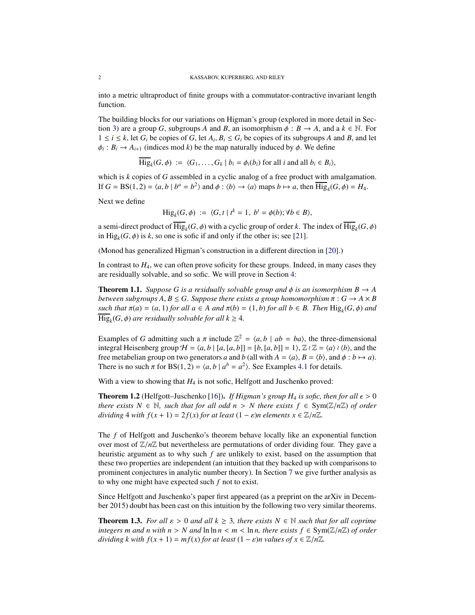into a metric ultraproduct of finite groups with a commutator-contractive invariant length function.

The building blocks for our variations on Higman's group (explored in more detail in Sec-tion [3\)](#page-5-0) are a group *G*, subgroups *A* and *B*, an isomorphism  $\phi : B \to A$ , and a  $k \in \mathbb{N}$ . For  $1 \leq i \leq k$ , let  $G_i$  be copies of  $G$ , let  $A_i, B_i \leq G_i$  be copies of its subgroups  $A$  and  $B$ , and let  $\phi_i : B_i \to A_{i+1}$  (indices mod *k*) be the map naturally induced by  $\phi$ . We define

$$
\overline{\text{Hig}}_k(G,\phi) := \langle G_1,\ldots,G_k \mid b_i = \phi_i(b_i) \text{ for all } i \text{ and all } b_i \in B_i \rangle,
$$

which is *k* copies of *G* assembled in a cyclic analog of a free product with amalgamation. If  $G = BS(1, 2) = \langle a, b | b^a = b^2 \rangle$  and  $\phi : \langle b \rangle \rightarrow \langle a \rangle$  maps  $b \mapsto a$ , then  $\overline{Hig}_4(G, \phi) = H_4$ .

Next we define

$$
\mathrm{Hig}_k(G,\phi) := \langle G,t \mid t^k = 1, \ b^t = \phi(b); \forall b \in B \rangle,
$$

a semi-direct product of  $\text{Hig}_k(G, \phi)$  with a cyclic group of order *k*. The index of  $\text{Hig}_k(G, \phi)$ in  $\text{Hig}_k(G, \phi)$  is *k*, so one is sofic if and only if the other is; see [\[21\]](#page-26-4).

(Monod has generalized Higman's construction in a different direction in [\[20\]](#page-26-5).)

In contrast to *H*4, we can often prove soficity for these groups. Indeed, in many cases they are residually solvable, and so sofic. We will prove in Section [4:](#page-7-0)

<span id="page-1-2"></span>**Theorem 1.1.** *Suppose G is a residually solvable group and*  $\phi$  *is an isomorphism B*  $\rightarrow$  *A between subgroups A, B*  $\le$  *G. Suppose there exists a group homomorphism*  $\pi$  : *G*  $\rightarrow$  *A*  $\times$  *B such that*  $\pi(a) = (a, 1)$  *for all*  $a \in A$  *and*  $\pi(b) = (1, b)$  *for all*  $b \in B$ *. Then*  $\text{Hig}_k(G, \phi)$  *and*  $\text{Hig}_k(G, \phi)$  *are residually solvable for all*  $k \geq 4$ *.* 

Examples of *G* admitting such a  $\pi$  include  $\mathbb{Z}^2 = \langle a, b \mid ab = ba \rangle$ , the three-dimensional integral Heisenberg group  $H = \langle a, b \mid [a, [a, b]] = [b, [a, b]] = 1 \rangle$ ,  $\mathbb{Z} \wr \mathbb{Z} = \langle a \rangle \wr \langle b \rangle$ , and the free metabelian group on two generators *a* and *b* (all with  $A = \langle a \rangle$ ,  $B = \langle b \rangle$ , and  $\phi : b \mapsto a$ ). There is no such  $\pi$  for BS(1, 2) =  $\langle a, b \mid a^b = a^2 \rangle$ . See Examples [4.1](#page-7-1) for details.

With a view to showing that  $H_4$  is not sofic, Helfgott and Juschenko proved:

<span id="page-1-1"></span>**Theorem 1.2** (Helfgott–Juschenko [\[16\]](#page-26-6)). *If Higman's group H<sub>4</sub> is sofic, then for all*  $\epsilon > 0$ *there exists*  $N \in \mathbb{N}$ *, such that for all odd n > N there exists*  $f \in Sym(\mathbb{Z}/n\mathbb{Z})$  *of order dividing* 4 *with*  $f(x + 1) = 2f(x)$  *for at least*  $(1 - \varepsilon)n$  *elements*  $x \in \mathbb{Z}/n\mathbb{Z}$ *.* 

The *f* of Helfgott and Juschenko's theorem behave locally like an exponential function over most of  $\mathbb{Z}/n\mathbb{Z}$  but nevertheless are permutations of order dividing four. They gave a heuristic argument as to why such *f* are unlikely to exist, based on the assumption that these two properties are independent (an intuition that they backed up with comparisons to prominent conjectures in analytic number theory). In Section [7](#page-24-0) we give further analysis as to why one might have expected such *f* not to exist.

Since Helfgott and Juschenko's paper first appeared (as a preprint on the arXiv in December 2015) doubt has been cast on this intuition by the following two very similar theorems.

<span id="page-1-0"></span>**Theorem 1.3.** *For all*  $\varepsilon > 0$  *and all*  $k \geq 3$ *, there exists*  $N \in \mathbb{N}$  *such that for all coprime integers m and n with n* > *N and*  $\ln \ln n$  < *m* <  $\ln n$ *, there exists f*  $\in$  Sym( $\mathbb{Z}/n\mathbb{Z}$ *) of order dividing k with*  $f(x + 1) = mf(x)$  *for at least*  $(1 - \varepsilon)n$  *values of*  $x \in \mathbb{Z}/n\mathbb{Z}$ .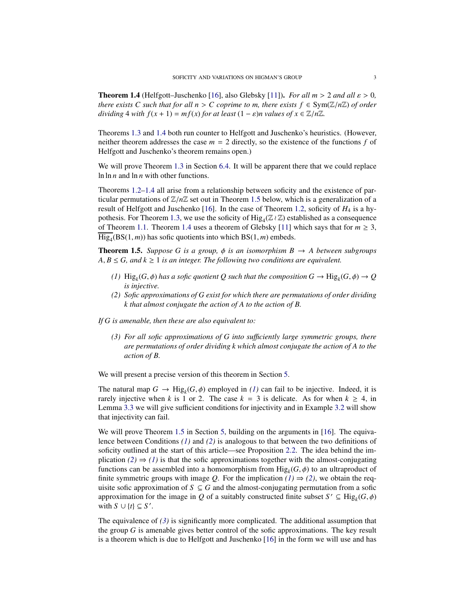<span id="page-2-0"></span>**Theorem 1.4** (Helfgott–Juschenko [\[16\]](#page-26-6), also Glebsky [\[11\]](#page-26-7)). *For all m > 2 and all*  $\varepsilon$  > 0, *there exists C such that for all n* > *C coprime to m, there exists*  $f \in Sym(\mathbb{Z}/n\mathbb{Z})$  *of order dividing* 4 *with*  $f(x + 1) = mf(x)$  *for at least*  $(1 - \varepsilon)n$  *values of*  $x \in \mathbb{Z}/n\mathbb{Z}$ *.* 

Theorems [1.3](#page-1-0) and [1.4](#page-2-0) both run counter to Helfgott and Juschenko's heuristics. (However, neither theorem addresses the case  $m = 2$  directly, so the existence of the functions  $f$  of Helfgott and Juschenko's theorem remains open.)

We will prove Theorem [1.3](#page-1-0) in Section [6.4.](#page-21-0) It will be apparent there that we could replace ln ln *n* and ln *n* with other functions.

Theorems [1.2–](#page-1-1)[1.4](#page-2-0) all arise from a relationship between soficity and the existence of particular permutations of  $\mathbb{Z}/n\mathbb{Z}$  set out in Theorem [1.5](#page-2-1) below, which is a generalization of a result of Helfgott and Juschenko [\[16\]](#page-26-6). In the case of Theorem [1.2,](#page-1-1) soficity of *H*<sup>4</sup> is a hy-pothesis. For Theorem [1.3,](#page-1-0) we use the soficity of  $\text{Hig}_4(\mathbb{Z} \wr \mathbb{Z})$  established as a consequence of Theorem [1.1.](#page-1-2) Theorem [1.4](#page-2-0) uses a theorem of Glebsky [\[11\]](#page-26-7) which says that for  $m \geq 3$ ,  $\text{Hig}_{4}(\text{BS}(1,m))$  has sofic quotients into which  $\text{BS}(1,m)$  embeds.

<span id="page-2-1"></span>**Theorem 1.5.** *Suppose G is a group,*  $\phi$  *is an isomorphism B*  $\rightarrow$  *A between subgroups*  $A, B \le G$ , and  $k \ge 1$  *is an integer. The following two conditions are equivalent.* 

- <span id="page-2-2"></span>*(1)*  $\text{Hig}_k(G, \phi)$  has a sofic quotient Q such that the composition  $G \to \text{Hig}_k(G, \phi) \to Q$ *is injective.*
- <span id="page-2-3"></span>*(2) Sofic approximations of G exist for which there are permutations of order dividing k that almost conjugate the action of A to the action of B.*

<span id="page-2-4"></span>*If G is amenable, then these are also equivalent to:*

*(3) For all sofic approximations of G into su*ffi*ciently large symmetric groups, there are permutations of order dividing k which almost conjugate the action of A to the action of B.*

We will present a precise version of this theorem in Section [5.](#page-10-0)

The natural map  $G \to \text{Hig}_k(G, \phi)$  employed in *[\(1\)](#page-2-2)* can fail to be injective. Indeed, it is rarely injective when *k* is 1 or 2. The case  $k = 3$  is delicate. As for when  $k \ge 4$ , in Lemma [3.3](#page-6-0) we will give sufficient conditions for injectivity and in Example [3.2](#page-6-1) will show that injectivity can fail.

We will prove Theorem [1.5](#page-2-1) in Section [5,](#page-10-0) building on the arguments in [\[16\]](#page-26-6). The equivalence between Conditions *[\(1\)](#page-2-2)* and *[\(2\)](#page-2-3)* is analogous to that between the two definitions of soficity outlined at the start of this article—see Proposition [2.2.](#page-4-0) The idea behind the implication  $(2) \Rightarrow (1)$  $(2) \Rightarrow (1)$  $(2) \Rightarrow (1)$  is that the sofic approximations together with the almost-conjugating functions can be assembled into a homomorphism from  $\text{Hig}_k(G, \phi)$  to an ultraproduct of finite symmetric groups with image *Q*. For the implication  $(1) \Rightarrow (2)$  $(1) \Rightarrow (2)$  $(1) \Rightarrow (2)$ , we obtain the requisite sofic approximation of  $S \subseteq G$  and the almost-conjugating permutation from a sofic approximation for the image in *Q* of a suitably constructed finite subset  $S' \subseteq \text{Hig}_k(G, \phi)$ with  $S \cup \{t\} \subseteq S'$ .

The equivalence of  $(3)$  is significantly more complicated. The additional assumption that the group *G* is amenable gives better control of the sofic approximations. The key result is a theorem which is due to Helfgott and Juschenko [\[16\]](#page-26-6) in the form we will use and has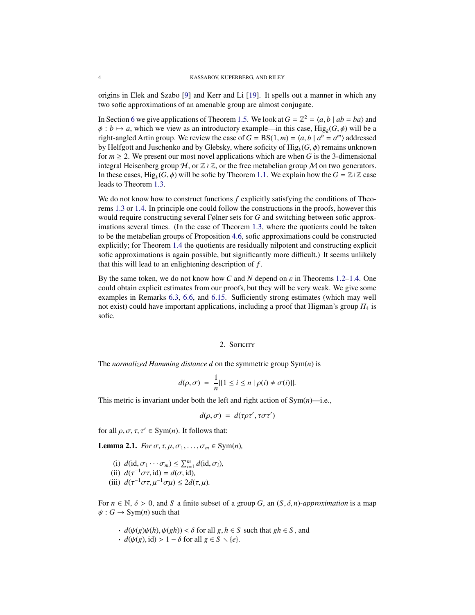origins in Elek and Szabo [\[9\]](#page-26-8) and Kerr and Li [\[19\]](#page-26-9). It spells out a manner in which any two sofic approximations of an amenable group are almost conjugate.

In Section [6](#page-16-0) we give applications of Theorem [1.5.](#page-2-1) We look at  $G = \mathbb{Z}^2 = \langle a, b \mid ab = ba \rangle$  and  $\phi : b \mapsto a$ , which we view as an introductory example—in this case, Hig<sub>k</sub>( $G, \phi$ ) will be a right-angled Artin group. We review the case of  $G = BS(1, m) = \langle a, b \mid a^b = a^m \rangle$  addressed by Helfgott and Juschenko and by Glebsky, where soficity of Hig*<sup>k</sup>* (*G*, φ) remains unknown for  $m \ge 2$ . We present our most novel applications which are when *G* is the 3-dimensional integral Heisenberg group  $H$ , or  $\mathbb{Z} \wr \mathbb{Z}$ , or the free metabelian group M on two generators. In these cases,  $\text{Hig}_k(G, \phi)$  will be sofic by Theorem [1.1.](#page-1-2) We explain how the  $G = \mathbb{Z} \wr \mathbb{Z}$  case leads to Theorem [1.3.](#page-1-0)

We do not know how to construct functions *f* explicitly satisfying the conditions of Theorems [1.3](#page-1-0) or [1.4.](#page-2-0) In principle one could follow the constructions in the proofs, however this would require constructing several Følner sets for *G* and switching between sofic approximations several times. (In the case of Theorem [1.3,](#page-1-0) where the quotients could be taken to be the metabelian groups of Proposition [4.6,](#page-9-0) sofic approximations could be constructed explicitly; for Theorem [1.4](#page-2-0) the quotients are residually nilpotent and constructing explicit sofic approximations is again possible, but significantly more difficult.) It seems unlikely that this will lead to an enlightening description of *f* .

By the same token, we do not know how *C* and *N* depend on  $\varepsilon$  in Theorems [1.2](#page-1-1)[–1.4.](#page-2-0) One could obtain explicit estimates from our proofs, but they will be very weak. We give some examples in Remarks [6.3,](#page-17-0) [6.6,](#page-18-0) and [6.15.](#page-21-1) Sufficiently strong estimates (which may well not exist) could have important applications, including a proof that Higman's group *H*<sup>4</sup> is sofic.

### 2. SOFICITY

<span id="page-3-0"></span>The *normalized Hamming distance d* on the symmetric group Sym(*n*) is

$$
d(\rho, \sigma) = \frac{1}{n} |\{1 \le i \le n \mid \rho(i) \ne \sigma(i)\}|.
$$

This metric is invariant under both the left and right action of Sym(*n*)—i.e.,

$$
d(\rho, \sigma) = d(\tau \rho \tau', \tau \sigma \tau')
$$

for all  $\rho$ ,  $\sigma$ ,  $\tau$ ,  $\tau' \in \text{Sym}(n)$ . It follows that:

<span id="page-3-1"></span>**Lemma 2.1.** *For*  $\sigma$ ,  $\tau$ ,  $\mu$ ,  $\sigma$ <sub>1</sub>, ...,  $\sigma$ <sub>*m*</sub>  $\in$  Sym(*n*)*,* 

- (i)  $d(\mathrm{id}, \sigma_1 \cdots \sigma_m) \leq \sum_{i=1}^m d(\mathrm{id}, \sigma_i)$ ,
- (ii)  $d(\tau^{-1}\sigma\tau, id) = d(\sigma, id)$ ,
- (iii)  $d(\tau^{-1}\sigma\tau, \mu^{-1}\sigma\mu) \leq 2d(\tau, \mu)$ .

For  $n \in \mathbb{N}$ ,  $\delta > 0$ , and *S* a finite subset of a group *G*, an  $(S, \delta, n)$ *-approximation* is a map  $\psi$ :  $G \rightarrow \text{Sym}(n)$  such that

- $\cdot$  *d*( $\psi(g)\psi(h), \psi(gh)$ ) <  $\delta$  for all  $g, h \in S$  such that  $gh \in S$ , and
- $\cdot$  *d*( $\psi$ (*g*), id) > 1 − δ for all *g* ∈ *S* \ {*e*}.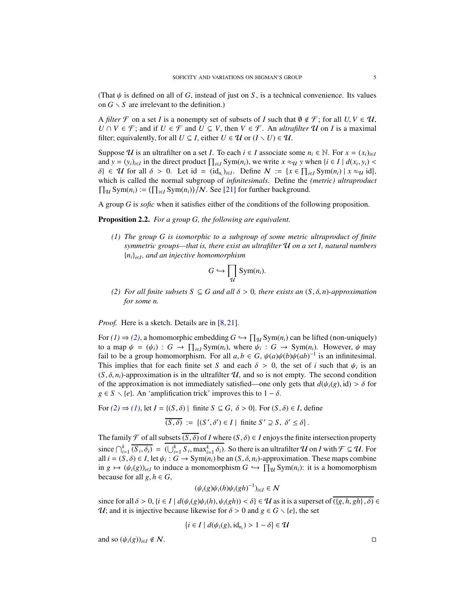(That  $\psi$  is defined on all of *G*, instead of just on *S*, is a technical convenience. Its values on  $G \setminus S$  are irrelevant to the definition.)

A *filter*  $\mathcal F$  on a set *I* is a nonempty set of subsets of *I* such that  $\emptyset \notin \mathcal F$ ; for all  $U, V \in \mathcal U$ , *U* ∩ *V* ∈  $\mathcal{F}$ ; and if *U* ∈  $\mathcal{F}$  and *U* ⊆ *V*, then *V* ∈  $\mathcal{F}$ . An *ultrafilter* **U** on *I* is a maximal filter; equivalently, for all  $U \subseteq I$ , either  $U \in \mathcal{U}$  or  $(I \setminus U) \in \mathcal{U}$ .

Suppose U is an ultrafilter on a set *I*. To each  $i \in I$  associate some  $n_i \in \mathbb{N}$ . For  $x = (x_i)_{i \in I}$ and  $y = (y_i)_{i \in I}$  in the direct product  $\prod_{i \in I} \text{Sym}(n_i)$ , we write  $x \approx_{\mathcal{U}} y$  when  $\{i \in I \mid d(x_i, y_i)$  $\delta$   $\in \mathcal{U}$  for all  $\delta > 0$ . Let id =  $(id_{n_i})_{i \in I}$ . Define  $\mathcal{N} := \{x \in \prod_{i \in I} \text{Sym}(n_i) \mid x \approx \mathcal{U} \text{ id}\},$ which is called the normal subgroup of *infinitesimals*. Define the *(metric) ultraproduct*  $\prod_{\mathcal{U}}$  Sym(*n<sub>i</sub>*) :=  $(\prod_{i \in I} \text{Sym}(n_i))/N$ . See [\[21\]](#page-26-4) for further background.

A group *G* is *sofic* when it satisfies either of the conditions of the following proposition.

<span id="page-4-1"></span><span id="page-4-0"></span>Proposition 2.2. *For a group G, the following are equivalent.*

*(1) The group G is isomorphic to a subgroup of some metric ultraproduct of finite symmetric groups—that is, there exist an ultrafilter* U *on a set I, natural numbers* {*ni*}*i*∈*<sup>I</sup> , and an injective homomorphism*

$$
G \hookrightarrow \prod_{\mathcal{U}} \text{Sym}(n_i).
$$

<span id="page-4-2"></span>*(2) For all finite subsets S* ⊆ *G* and all  $δ$  > 0, there exists an  $(S, δ, n)$ -approximation *for some n.*

*Proof.* Here is a sketch. Details are in [\[8,](#page-26-10) [21\]](#page-26-4).

For  $(1) \Rightarrow (2)$  $(1) \Rightarrow (2)$  $(1) \Rightarrow (2)$ , a homomorphic embedding  $G \hookrightarrow \prod_{\mathcal{U}} \text{Sym}(n_i)$  can be lifted (non-uniquely) to a map  $\psi = (\psi_i) : G \to \prod_{i \in I} \text{Sym}(n_i)$ , where  $\psi_i : G \to \text{Sym}(n_i)$ . However,  $\psi$  may fail to be a group homomorphism. For all  $a, b \in G$ ,  $\psi(a)\psi(b)\psi(ab)^{-1}$  is an infinitesimal. This implies that for each finite set *S* and each  $\delta > 0$ , the set of *i* such that  $\psi_i$  is an  $(S, \delta, n_i)$ -approximation is in the ultrafilter  $U$ , and so is not empty. The second condition of the approximation is not immediately satisfied—one only gets that  $d(\psi_i(g), id) > \delta$  for  $g \in S \setminus \{e\}$ . An 'amplification trick' improves this to  $1 - \delta$ .

For *[\(2\)](#page-4-2)* ⇒ *[\(1\)](#page-4-1)*, let *I* = {(*S*, δ) | finite *S* ⊆ *G*, δ > 0}. For (*S*, δ) ∈ *I*, define

$$
\overline{(S,\delta)} := \{ (S',\delta') \in I \mid \text{finite } S' \supseteq S, \delta' \leq \delta \}.
$$

The family  $\mathcal F$  of all subsets  $\overline{(S, \delta)}$  of *I* where  $(S, \delta) \in I$  enjoys the finite intersection property since  $\bigcap_{i=1}^k \overline{(S_i, \delta_i)} = (\bigcup_{i=1}^k S_i, \max_{i=1}^k \delta_i)$ . So there is an ultrafilter  $\mathcal U$  on *I* with  $\mathcal F \subseteq \mathcal U$ . For all  $i = (S, \delta) \in I$ , let  $\psi_i : G \to \text{Sym}(n_i)$  be an  $(S, \delta, n_i)$ -approximation. These maps combine in *g*  $\mapsto (\psi_i(g))_{i \in I}$  to induce a monomorphism *G*  $\hookrightarrow \prod_{\mathcal{U}} \text{Sym}(n_i)$ : it is a homomorphism because for all  $g, h \in G$ ,

$$
(\psi_i(g)\psi_i(h)\psi_i(gh)^{-1})_{i\in I}\in\mathcal{N}
$$

since for all  $\delta > 0$ ,  $\{i \in I \mid d(\psi_i(g)\psi_i(h), \psi_i(gh)) < \delta\} \in \mathcal{U}$  as it is a superset of  $\overline{(\{g, h, gh\}, \delta)} \in$ U; and it is injective because likewise for  $\delta > 0$  and  $g \in G \setminus \{e\}$ , the set

$$
\{i \in I \mid d(\psi_i(g), \mathrm{id}_{n_i}) > 1 - \delta\} \in \mathcal{U}
$$

and so  $(\psi_i(g))_{i \in I} \notin \mathcal{N}$ .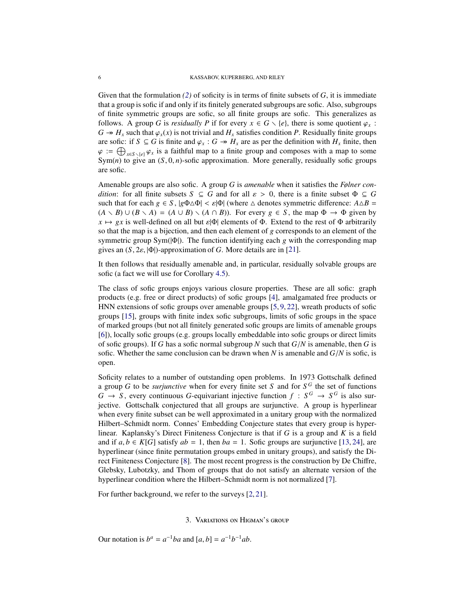Given that the formulation *[\(2\)](#page-4-2)* of soficity is in terms of finite subsets of *G*, it is immediate that a group is sofic if and only if its finitely generated subgroups are sofic. Also, subgroups of finite symmetric groups are sofic, so all finite groups are sofic. This generalizes as follows. A group *G* is *residually P* if for every  $x \in G \setminus \{e\}$ , there is some quotient  $\varphi_x$ :  $G \rightarrow H_x$  such that  $\varphi_x(x)$  is not trivial and  $H_x$  satisfies condition *P*. Residually finite groups are sofic: if  $S \subseteq G$  is finite and  $\varphi_x : G \to H_x$  are as per the definition with  $H_x$  finite, then  $\varphi := \bigoplus_{x \in S \setminus \{e\}} \varphi_x$  is a faithful map to a finite group and composes with a map to some  $Sym(n)$  to give an  $(S, 0, n)$ -sofic approximation. More generally, residually sofic groups are sofic.

Amenable groups are also sofic. A group *G* is *amenable* when it satisfies the *Følner condition*: for all finite subsets  $S \subseteq G$  and for all  $\varepsilon > 0$ , there is a finite subset  $\Phi \subseteq G$ such that for each  $g \in S$ ,  $|g\Phi \triangle \Phi| < \varepsilon |\Phi|$  (where  $\triangle$  denotes symmetric difference:  $A \triangle B =$  $(A \setminus B) \cup (B \setminus A) = (A \cup B) \setminus (A \cap B)$ . For every  $g \in S$ , the map  $\Phi \to \Phi$  given by  $x \mapsto gx$  is well-defined on all but  $\varepsilon|\Phi|$  elements of  $\Phi$ . Extend to the rest of  $\Phi$  arbitrarily so that the map is a bijection, and then each element of *g* corresponds to an element of the symmetric group Sym(|Φ|). The function identifying each *g* with the corresponding map gives an (*S*, 2ε, |Φ|)-approximation of *G*. More details are in [\[21\]](#page-26-4).

It then follows that residually amenable and, in particular, residually solvable groups are sofic (a fact we will use for Corollary [4.5\)](#page-9-1).

The class of sofic groups enjoys various closure properties. These are all sofic: graph products (e.g. free or direct products) of sofic groups [\[4\]](#page-25-0), amalgamated free products or HNN extensions of sofic groups over amenable groups [\[5,](#page-26-11) [9,](#page-26-8) [22\]](#page-26-12), wreath products of sofic groups [\[15\]](#page-26-13), groups with finite index sofic subgroups, limits of sofic groups in the space of marked groups (but not all finitely generated sofic groups are limits of amenable groups [\[6\]](#page-26-14)), locally sofic groups (e.g. groups locally embeddable into sofic groups or direct limits of sofic groups). If *G* has a sofic normal subgroup *N* such that *G*/*N* is amenable, then *G* is sofic. Whether the same conclusion can be drawn when  $N$  is amenable and  $G/N$  is sofic, is open.

Soficity relates to a number of outstanding open problems. In 1973 Gottschalk defined a group *G* to be *surjunctive* when for every finite set *S* and for  $S^G$  the set of functions  $G \rightarrow S$ , every continuous *G*-equivariant injective function  $f : S^G \rightarrow S^G$  is also surjective. Gottschalk conjectured that all groups are surjunctive. A group is hyperlinear when every finite subset can be well approximated in a unitary group with the normalized Hilbert–Schmidt norm. Connes' Embedding Conjecture states that every group is hyperlinear. Kaplansky's Direct Finiteness Conjecture is that if *G* is a group and *K* is a field and if  $a, b \in K[G]$  satisfy  $ab = 1$ , then  $ba = 1$ . Sofic groups are surjunctive [\[13,](#page-26-1) [24\]](#page-26-0), are hyperlinear (since finite permutation groups embed in unitary groups), and satisfy the Direct Finiteness Conjecture [\[8\]](#page-26-10). The most recent progress is the construction by De Chiffre, Glebsky, Lubotzky, and Thom of groups that do not satisfy an alternate version of the hyperlinear condition where the Hilbert–Schmidt norm is not normalized [\[7\]](#page-26-15).

<span id="page-5-0"></span>For further background, we refer to the surveys [\[2,](#page-25-1) [21\]](#page-26-4).

### 3. Variations on Higman's group

Our notation is  $b^a = a^{-1}ba$  and  $[a, b] = a^{-1}b^{-1}ab$ .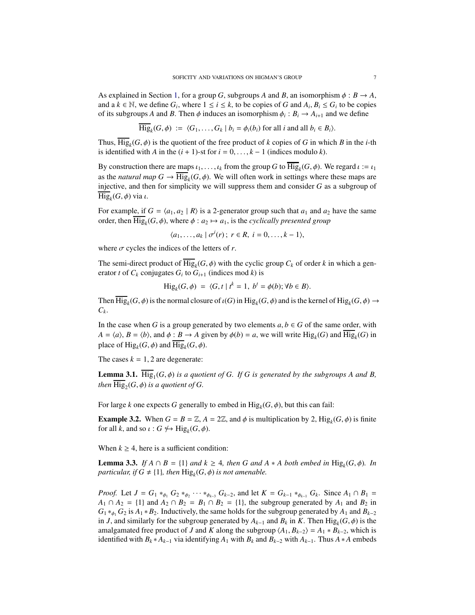As explained in Section [1,](#page-0-0) for a group *G*, subgroups *A* and *B*, an isomorphism  $\phi : B \to A$ , and a  $k \in \mathbb{N}$ , we define  $G_i$ , where  $1 \le i \le k$ , to be copies of *G* and  $A_i, B_i \le G_i$  to be copies of its subgroups *A* and *B*. Then  $\phi$  induces an isomorphism  $\phi_i : B_i \to A_{i+1}$  and we define

$$
\overline{\text{Hig}}_k(G,\phi) := \langle G_1,\ldots,G_k \mid b_i = \phi_i(b_i) \text{ for all } i \text{ and all } b_i \in B_i \rangle.
$$

Thus,  $\text{Hig}_k(G, \phi)$  is the quotient of the free product of *k* copies of *G* in which *B* in the *i*-th is identified with *A* in the  $(i + 1)$ -st for  $i = 0, \ldots, k - 1$  (indices modulo *k*).

By construction there are maps  $\iota_1, \ldots, \iota_k$  from the group *G* to  $\overline{\text{Hig}}_k(G, \phi)$ . We regard  $\iota := \iota_1$ as the *natural map*  $G \to \text{Hig}_k(G, \phi)$ . We will often work in settings where these maps are injective, and then for simplicity we will suppress them and consider *G* as a subgroup of Hig*<sup>k</sup>* (*G*, φ) via ι.

For example, if  $G = \langle a_1, a_2 | R \rangle$  is a 2-generator group such that  $a_1$  and  $a_2$  have the same order, then  $\text{Hig}_k(G, \phi)$ , where  $\phi : a_2 \mapsto a_1$ , is the *cyclically presented group* 

$$
\langle a_1,\ldots,a_k \mid \sigma^i(r); \ r \in R, \ i=0,\ldots,k-1 \rangle,
$$

where  $\sigma$  cycles the indices of the letters of  $r$ .

The semi-direct product of  $\text{Hig}_k(G, \phi)$  with the cyclic group  $C_k$  of order  $k$  in which a generator *t* of  $C_k$  conjugates  $G_i$  to  $G_{i+1}$  (indices mod *k*) is

$$
\text{Hig}_k(G,\phi) = \langle G, t \mid t^k = 1, b^t = \phi(b); \forall b \in B \rangle.
$$

Then  $\text{Hig}_k(G, \phi)$  is the normal closure of  $\iota(G)$  in  $\text{Hig}_k(G, \phi)$  and is the kernel of  $\text{Hig}_k(G, \phi) \to$  $C_k$ .

In the case when *G* is a group generated by two elements  $a, b \in G$  of the same order, with  $A = \langle a \rangle$ ,  $B = \langle b \rangle$ , and  $\phi : B \to A$  given by  $\phi(b) = a$ , we will write Hig<sub>k</sub>(*G*) and  $\overline{\text{Hig}}_k(G)$  in place of  $\text{Hig}_k(G, \phi)$  and  $\text{Hig}_k(G, \phi)$ .

The cases  $k = 1, 2$  are degenerate:

**Lemma 3.1.** Hig<sub>1</sub> $(G, \phi)$  *is a quotient of G. If G is generated by the subgroups A and B, then*  $\text{Hig}_2(G, \phi)$  *is a quotient of G.* 

For large *k* one expects *G* generally to embed in  $\text{Hig}_k(G, \phi)$ , but this can fail:

<span id="page-6-1"></span>**Example 3.2.** When  $G = B = \mathbb{Z}$ ,  $A = 2\mathbb{Z}$ , and  $\phi$  is multiplication by 2,  $\text{Hig}_k(G, \phi)$  is finite for all *k*, and so  $\iota$  :  $G \nleftrightarrow \text{Hig}_k(G, \phi)$ .

When  $k \geq 4$ , here is a sufficient condition:

<span id="page-6-0"></span>**Lemma 3.3.** *If*  $A \cap B = \{1\}$  *and*  $k \geq 4$ *, then G and*  $A * A$  *both embed in* Hig<sub>k</sub>(*G,* $\phi$ *). In particular, if*  $G \neq \{1\}$ *, then*  $\text{Hig}_k(G, \phi)$  *is not amenable.* 

*Proof.* Let  $J = G_1 *_{\phi_1} G_2 *_{\phi_2} \cdots *_{\phi_{k-3}} G_{k-2}$ , and let  $K = G_{k-1} *_{\phi_{k-1}} G_k$ . Since  $A_1 \cap B_1 =$  $A_1 \cap A_2 = \{1\}$  and  $A_2 \cap B_2 = B_1 \cap B_2 = \{1\}$ , the subgroup generated by  $A_1$  and  $B_2$  in  $G_1 *_{\phi_1} G_2$  is  $A_1 * B_2$ . Inductively, the same holds for the subgroup generated by  $A_1$  and  $B_{k-2}$ in *J*, and similarly for the subgroup generated by  $A_{k-1}$  and  $B_k$  in *K*. Then  $\text{Hig}_k(G, \phi)$  is the amalgamated free product of *J* and *K* along the subgroup  $\langle A_1, B_{k-2} \rangle = A_1 * B_{k-2}$ , which is identified with  $B_k * A_{k-1}$  via identifying  $A_1$  with  $B_k$  and  $B_{k-2}$  with  $A_{k-1}$ . Thus  $A * A$  embeds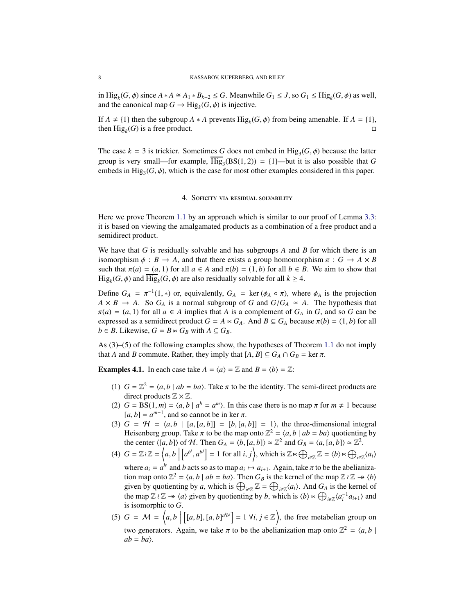in Hig<sub>*k*</sub>(*G*,  $\phi$ ) since *A* ∗ *A* ≅ *A*<sub>1</sub> ∗ *B*<sub>*k*−2</sub> ≤ *G*. Meanwhile *G*<sub>1</sub> ≤ *J*, so *G*<sub>1</sub> ≤ Hig<sub>*k*</sub>(*G*,  $\phi$ ) as well, and the canonical map  $G \to \text{Hig}_k(G, \phi)$  is injective.

If  $A \neq \{1\}$  then the subgroup  $A * A$  prevents  $\text{Hig}_k(G, \phi)$  from being amenable. If  $A = \{1\}$ , then  $\text{Hig}_k(G)$  is a free product.

<span id="page-7-0"></span>The case  $k = 3$  is trickier. Sometimes G does not embed in  $\text{Hig}_3(G, \phi)$  because the latter group is very small—for example,  $\overline{Hig}_3(BS(1,2)) = \{1\}$ —but it is also possible that *G* embeds in  $\text{Hig}_3(G, \phi)$ , which is the case for most other examples considered in this paper.

### 4. Soficity via residual solvability

Here we prove Theorem [1.1](#page-1-2) by an approach which is similar to our proof of Lemma [3.3:](#page-6-0) it is based on viewing the amalgamated products as a combination of a free product and a semidirect product.

We have that *G* is residually solvable and has subgroups *A* and *B* for which there is an isomorphism  $\phi$  :  $B \to A$ , and that there exists a group homomorphism  $\pi$  :  $G \to A \times B$ such that  $\pi(a) = (a, 1)$  for all  $a \in A$  and  $\pi(b) = (1, b)$  for all  $b \in B$ . We aim to show that  $\text{Hig}_k(G, \phi)$  and  $\text{Hig}_k(G, \phi)$  are also residually solvable for all  $k \geq 4$ .

Define  $G_A = \pi^{-1}(1,*)$  or, equivalently,  $G_A = \ker(\phi_A \circ \pi)$ , where  $\phi_A$  is the projection  $A \times B \to A$ . So  $G_A$  is a normal subgroup of *G* and  $G/G_A \simeq A$ . The hypothesis that  $\pi(a) = (a, 1)$  for all  $a \in A$  implies that *A* is a complement of  $G_A$  in *G*, and so *G* can be expressed as a semidirect product  $G = A \ltimes G_A$ . And  $B \subseteq G_A$  because  $\pi(b) = (1, b)$  for all *b* ∈ *B*. Likewise, *G* = *B*  $\lt$  *G<sub><i>B*</sub></sub> with *A* ⊆ *G<sub><i>B*</sub>.

As (3)–(5) of the following examples show, the hypotheses of Theorem [1.1](#page-1-2) do not imply that *A* and *B* commute. Rather, they imply that  $[A, B] \subseteq G_A \cap G_B = \ker \pi$ .

<span id="page-7-1"></span>**Examples 4.1.** In each case take  $A = \langle a \rangle = \mathbb{Z}$  and  $B = \langle b \rangle = \mathbb{Z}$ :

- (1)  $G = \mathbb{Z}^2 = \langle a, b \mid ab = ba \rangle$ . Take  $\pi$  to be the identity. The semi-direct products are direct products  $\mathbb{Z} \times \mathbb{Z}$ .
- (2)  $G = BS(1, m) = \langle a, b \mid a^b = a^m \rangle$ . In this case there is no map  $\pi$  for  $m \neq 1$  because  $[a, b] = a^{m-1}$ , and so cannot be in ker  $\pi$ .
- (3)  $G = H = \langle a, b \mid [a, [a, b]] = [b, [a, b]] = 1 \rangle$ , the three-dimensional integral Heisenberg group. Take  $\pi$  to be the map onto  $\mathbb{Z}^2 = \langle a, b | ab = ba \rangle$  quotienting by the center  $\langle [a, b] \rangle$  of H. Then  $G_A = \langle b, [a, b] \rangle \simeq \mathbb{Z}^2$  and  $G_B = \langle a, [a, b] \rangle \simeq \mathbb{Z}^2$ .
- (4)  $G = \mathbb{Z} \wr \mathbb{Z} = \left\langle a, b \right\rangle$  $[a^{b^i}, a^{b^j}] = 1$  for all *i*, *j*), which is  $\mathbb{Z} \ltimes \bigoplus_{i \in \mathbb{Z}} \mathbb{Z} = \langle b \rangle \ltimes \bigoplus_{i \in \mathbb{Z}} \langle a_i \rangle$ where  $a_i = a^{b^i}$  and *b* acts so as to map  $a_i \mapsto a_{i+1}$ . Again, take  $\pi$  to be the abelianization map onto  $\mathbb{Z}^2 = \langle a, b \mid ab = ba \rangle$ . Then  $G_B$  is the kernel of the map  $\mathbb{Z} \wr \mathbb{Z} \to \langle b \rangle$ given by quotienting by *a*, which is  $\bigoplus_{i\in\mathbb{Z}}\mathbb{Z}=\bigoplus_{i\in\mathbb{Z}}\langle a_i\rangle$ . And  $G_A$  is the kernel of the map  $\mathbb{Z} \wr \mathbb{Z} \to \langle a \rangle$  given by quotienting by *b*, which is  $\langle b \rangle \lt \bigoplus_{i \in \mathbb{Z}} \langle a_i^{-1} a_{i+1} \rangle$  and is isomorphic to *G*.
- (5)  $G = M = \left\langle a, b \right\rceil$  $[(a, b], [a, b]^{a^i b^j}] = 1 \forall i, j \in \mathbb{Z}$ , the free metabelian group on two generators. Again, we take  $\pi$  to be the abelianization map onto  $\mathbb{Z}^2 = \langle a, b \rangle$  $ab = ba$ .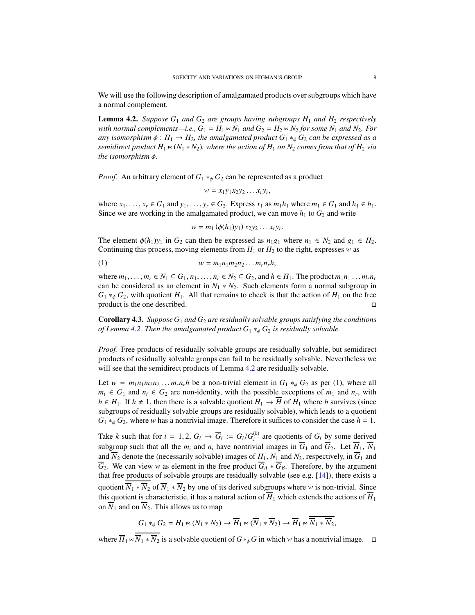We will use the following description of amalgamated products over subgroups which have a normal complement.

<span id="page-8-0"></span>Lemma 4.2. *Suppose G*<sup>1</sup> *and G*<sup>2</sup> *are groups having subgroups H*<sup>1</sup> *and H*<sup>2</sup> *respectively with normal complements—i.e.,*  $G_1 = H_1 \times N_1$  *and*  $G_2 = H_2 \times N_2$  *for some*  $N_1$  *and*  $N_2$ *. For any isomorphism*  $\phi : H_1 \to H_2$ , the amalgamated product  $G_1 *_{\phi} G_2$  *can be expressed as a semidirect product*  $H_1 \times (N_1 * N_2)$ *, where the action of*  $H_1$  *on*  $N_2$  *comes from that of*  $H_2$  *via the isomorphism* φ*.*

*Proof.* An arbitrary element of  $G_1 *_{\phi} G_2$  can be represented as a product

$$
w = x_1 y_1 x_2 y_2 \dots x_r y_r,
$$

where  $x_1, \ldots, x_r \in G_1$  and  $y_1, \ldots, y_r \in G_2$ . Express  $x_1$  as  $m_1 h_1$  where  $m_1 \in G_1$  and  $h_1 \in h_1$ . Since we are working in the amalgamated product, we can move  $h_1$  to  $G_2$  and write

<span id="page-8-1"></span>
$$
w = m_1 (\phi(h_1) y_1) x_2 y_2 \dots x_r y_r.
$$

The element  $\phi(h_1)y_1$  in  $G_2$  can then be expressed as  $n_1g_1$  where  $n_1 \in N_2$  and  $g_1 \in H_2$ . Continuing this process, moving elements from  $H_1$  or  $H_2$  to the right, expresses *w* as

$$
(1) \t\t\t w = m_1 n_1 m_2 n_2 \dots m_r n_r h,
$$

where  $m_1, \ldots, m_r \in N_1 \subseteq G_1, n_1, \ldots, n_r \in N_2 \subseteq G_2$ , and  $h \in H_1$ . The product  $m_1 n_1 \ldots m_r n_r$ can be considered as an element in  $N_1 * N_2$ . Such elements form a normal subgroup in  $G_1 *_{\phi} G_2$ , with quotient *H*<sub>1</sub>. All that remains to check is that the action of *H*<sub>1</sub> on the free product is the one described.

<span id="page-8-2"></span>Corollary 4.3. *Suppose G*<sup>1</sup> *and G*<sup>2</sup> *are residually solvable groups satisfying the conditions of Lemma* [4.2.](#page-8-0) *Then the amalgamated product*  $G_1 *_{\phi} G_2$  *is residually solvable.* 

*Proof.* Free products of residually solvable groups are residually solvable, but semidirect products of residually solvable groups can fail to be residually solvable. Nevertheless we will see that the semidirect products of Lemma [4.2](#page-8-0) are residually solvable.

Let  $w = m_1 n_1 m_2 n_2 \dots m_r n_r h$  be a non-trivial element in  $G_1 *_{\phi} G_2$  as per [\(1\)](#page-8-1), where all  $m_i$  ∈  $G_1$  and  $n_i$  ∈  $G_2$  are non-identity, with the possible exceptions of  $m_1$  and  $n_r$ , with *h* ∈ *H*<sub>1</sub>. If *h* ≠ 1, then there is a solvable quotient *H*<sub>1</sub> →  $\overline{H}$  of *H*<sub>1</sub> where *h* survives (since subgroups of residually solvable groups are residually solvable), which leads to a quotient  $G_1 *_{\phi} G_2$ , where *w* has a nontrivial image. Therefore it suffices to consider the case  $h = 1$ .

Take *k* such that for  $i = 1, 2, G_i \rightarrow \overline{G}_i := G_i/G_i^{(k)}$  are quotients of  $G_i$  by some derived subgroup such that all the  $m_i$  and  $n_i$  have nontrivial images in  $\overline{G}_1$  and  $\overline{G}_2$ . Let  $\overline{H}_1$ ,  $\overline{N}_1$ and  $\overline{N}_2$  denote the (necessarily solvable) images of  $H_1$ ,  $N_1$  and  $N_2$ , respectively, in  $\overline{G}_1$  and  $\overline{G}_2$ . We can view *w* as element in the free product  $\overline{G}_A * \overline{G}_B$ . Therefore, by the argument that free products of solvable groups are residually solvable (see e.g. [\[14\]](#page-26-16)), there exists a quotient  $\overline{N}_1 * \overline{N}_2$  of  $\overline{N}_1 * \overline{N}_2$  by one of its derived subgroups where *w* is non-trivial. Since this quotient is characteristic, it has a natural action of  $\overline{H}_1$  which extends the actions of  $\overline{H}_1$ on  $\overline{N}_1$  and on  $\overline{N}_2$ . This allows us to map

$$
G_1 *_{\phi} G_2 = H_1 \times (N_1 * N_2) \to \overline{H}_1 \times (\overline{N}_1 * \overline{N}_2) \to \overline{H}_1 \times \overline{N}_1 * \overline{N}_2,
$$

where  $\overline{H}_1 \ltimes \overline{N_1 * N_2}$  is a solvable quotient of  $G *_{\phi} G$  in which *w* has a nontrivial image.  $\Box$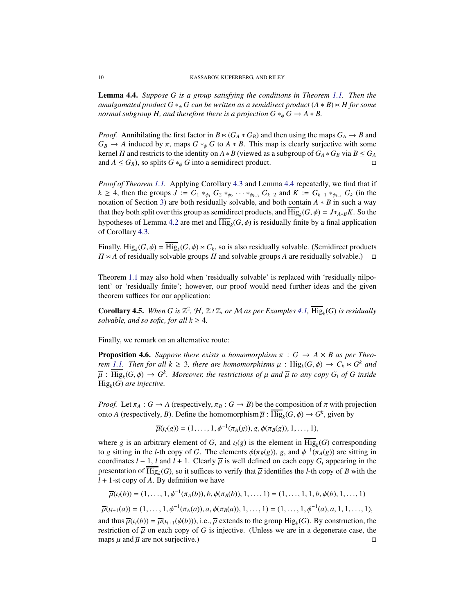<span id="page-9-2"></span>Lemma 4.4. *Suppose G is a group satisfying the conditions in Theorem [1.1.](#page-1-2) Then the amalgamated product*  $G *_{\phi} G$  *can be written as a semidirect product*  $(A * B) \times H$  *for some normal subgroup H, and therefore there is a projection*  $G *_{\phi} G \rightarrow A * B$ *.* 

*Proof.* Annihilating the first factor in  $B \ltimes (G_A * G_B)$  and then using the maps  $G_A \to B$  and  $G_B \rightarrow A$  induced by  $\pi$ , maps  $G *_{\phi} G$  to  $A * B$ . This map is clearly surjective with some kernel *H* and restricts to the identity on  $A * B$  (viewed as a subgroup of  $G_A * G_B$  via  $B \le G_A$ and  $A \leq G_B$ , so splits  $G *_{\phi} G$  into a semidirect product.

*Proof of Theorem [1.1.](#page-1-2)* Applying Corollary [4.3](#page-8-2) and Lemma [4.4](#page-9-2) repeatedly, we find that if  $k \geq 4$ , then the groups  $J := G_1 *_{\phi_1} G_2 *_{\phi_2} \cdots *_{\phi_{k-3}} G_{k-2}$  and  $K := G_{k-1} *_{\phi_{k-1}} G_k$  (in the notation of Section [3\)](#page-5-0) are both residually solvable, and both contain *A* ∗ *B* in such a way that they both split over this group as semidirect products, and  $\overline{\text{Hig}}_k(G, \phi) = J *_{A * B} K$ . So the hypotheses of Lemma [4.2](#page-8-0) are met and  $\text{Hig}_k(G, \phi)$  is residually finite by a final application of Corollary [4.3.](#page-8-2)

Finally,  $\text{Hig}_k(G, \phi) = \overline{\text{Hig}}_k(G, \phi) \rtimes C_k$ , so is also residually solvable. (Semidirect products  $H \times A$  of residually solvable groups *H* and solvable groups *A* are residually solvable.)  $\Box$ 

Theorem [1.1](#page-1-2) may also hold when 'residually solvable' is replaced with 'residually nilpotent' or 'residually finite'; however, our proof would need further ideas and the given theorem suffices for our application:

<span id="page-9-1"></span>**Corollary 4.5.** When G is  $\mathbb{Z}^2$ ,  $H$ ,  $\mathbb{Z} \wr \mathbb{Z}$ , or M as per Examples [4.1,](#page-7-1)  $\overline{\text{Hig}}_k(G)$  is residually *solvable, and so sofic, for all*  $k \geq 4$ *.* 

Finally, we remark on an alternative route:

<span id="page-9-0"></span>**Proposition 4.6.** *Suppose there exists a homomorphism*  $\pi$  :  $G \rightarrow A \times B$  *as per Theorem* [1.1.](#page-1-2) *Then for all*  $k \geq 3$ , *there are homomorphisms*  $\mu$  :  $\text{Hig}_k(G, \phi) \rightarrow C_k \ltimes G^k$  and  $\overline{\mu}$  :  $\overline{\text{Hig}}_k(G, \phi) \to G^k$ . Moreover, the restrictions of  $\mu$  and  $\overline{\mu}$  to any copy  $G_i$  of G inside Hig*<sup>k</sup>* (*G*) *are injective.*

*Proof.* Let  $\pi_A : G \to A$  (respectively,  $\pi_B : G \to B$ ) be the composition of  $\pi$  with projection onto *A* (respectively, *B*). Define the homomorphism  $\overline{\mu}$  :  $\overline{\text{Hig}}_k(G, \phi) \rightarrow G^k$ , given by

$$
\overline{\mu}(t_1(g)) = (1,\ldots,1,\phi^{-1}(\pi_A(g)),g,\phi(\pi_B(g)),1,\ldots,1),
$$

where *g* is an arbitrary element of *G*, and  $\iota_l(g)$  is the element in Hig<sub>k</sub>(*G*) corresponding to *g* sitting in the *l*-th copy of *G*. The elements  $\phi(\pi_B(g))$ , *g*, and  $\phi^{-1}(\pi_A(g))$  are sitting in coordinates  $l - 1$ ,  $l$  and  $l + 1$ . Clearly  $\overline{\mu}$  is well defined on each copy  $G_i$  appearing in the presentation of  $\overline{\text{Hig}}_k(G)$ , so it suffices to verify that  $\overline{\mu}$  identifies the *l*-th copy of *B* with the *l* + 1-st copy of *A*. By definition we have

$$
\overline{\mu}(t_1(b)) = (1, \ldots, 1, \phi^{-1}(\pi_A(b)), b, \phi(\pi_B(b)), 1, \ldots, 1) = (1, \ldots, 1, 1, b, \phi(b), 1, \ldots, 1)
$$

$$
\overline{\mu}(t_{l+1}(a)) = (1, \ldots, 1, \phi^{-1}(\pi_A(a)), a, \phi(\pi_B(a)), 1, \ldots, 1) = (1, \ldots, 1, \phi^{-1}(a), a, 1, 1, \ldots, 1),
$$

and thus  $\overline{\mu}(t_l(b)) = \overline{\mu}(t_{l+1}(\phi(b))),$  i.e.,  $\overline{\mu}$  extends to the group  $\text{Hig}_k(G)$ . By construction, the restriction of  $\overline{\mu}$  on each copy of *G* is injective. (Unless we are in a degenerate case, the maps  $\mu$  and  $\overline{\mu}$  are not surjective.)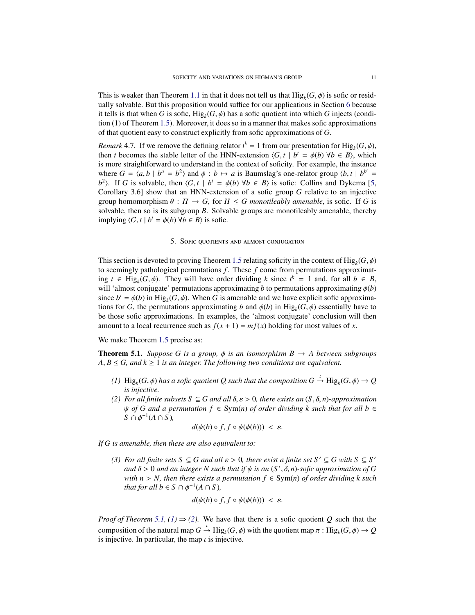This is weaker than Theorem [1.1](#page-1-2) in that it does not tell us that  $\text{Hig}_k(G, \phi)$  is sofic or residually solvable. But this proposition would suffice for our applications in Section [6](#page-16-0) because it tells is that when *G* is sofic,  $\text{Hig}_k(G, \phi)$  has a sofic quotient into which *G* injects (condition (1) of Theorem [1.5\)](#page-2-1). Moreover, it does so in a manner that makes sofic approximations of that quotient easy to construct explicitly from sofic approximations of *G*.

*Remark* 4.7. If we remove the defining relator  $t^k = 1$  from our presentation for  $\text{Hig}_k(G, \phi)$ , then *t* becomes the stable letter of the HNN-extension  $\langle G, t | b^t = \phi(b) \ \forall b \in B \rangle$ , which is more straightforward to understand in the context of soficity. For example, the instance where  $G = \langle a, b \mid b^a = b^2 \rangle$  and  $\phi : b \mapsto a$  is Baumslag's one-relator group  $\langle b, t \mid b^{b'} = a \rangle$ *b*<sup>2</sup>). If *G* is solvable, then  $\langle G, t | b^t = \phi(b) \forall b \in B \rangle$  is sofic: Collins and Dykema [\[5,](#page-26-11) Corollary 3.6] show that an HNN-extension of a sofic group *G* relative to an injective group homomorphism  $\theta : H \to G$ , for  $H \leq G$  monotileably amenable, is sofic. If G is solvable, then so is its subgroup *B*. Solvable groups are monotileably amenable, thereby implying  $\langle G, t | b^t = \phi(b) \forall b \in B \rangle$  is sofic.

#### 5. Sofic quotients and almost conjugation

<span id="page-10-0"></span>This section is devoted to proving Theorem [1.5](#page-2-1) relating soficity in the context of  $\text{Hig}_k(G, \phi)$ to seemingly pathological permutations *f* . These *f* come from permutations approximating  $t \in \text{Hig}_k(G, \phi)$ . They will have order dividing  $k$  since  $t^k = 1$  and, for all  $b \in B$ , will 'almost conjugate' permutations approximating *b* to permutations approximating  $\phi(b)$ since  $b^t = \phi(b)$  in Hig<sub>k</sub>( $G, \phi$ ). When  $G$  is amenable and we have explicit sofic approximations for *G*, the permutations approximating *b* and  $\phi(b)$  in Hig<sub>k</sub>(*G*,  $\phi$ ) essentially have to be those sofic approximations. In examples, the 'almost conjugate' conclusion will then amount to a local recurrence such as  $f(x + 1) = mf(x)$  holding for most values of *x*.

We make Theorem [1.5](#page-2-1) precise as:

<span id="page-10-1"></span>**Theorem 5.1.** *Suppose G is a group,*  $\phi$  *is an isomorphism B*  $\rightarrow$  *A between subgroups*  $A, B \le G$ , and  $k \ge 1$  *is an integer. The following two conditions are equivalent.* 

- <span id="page-10-2"></span>*(1)*  $\text{Hig}_k(G, \phi)$  has a sofic quotient Q such that the composition  $G \xrightarrow{\iota} \text{Hig}_k(G, \phi) \rightarrow Q$ *is injective.*
- <span id="page-10-3"></span>*(2) For all finite subsets S* ⊆ *G and all* δ, ε > 0*, there exists an* (*S*, δ, *n*)*-approximation*  $\psi$  *of G and a permutation f*  $\in$  Sym(*n*) *of order dividing k such that for all b*  $\in$  $S \cap \phi^{-1}(A \cap S)$ ,

$$
d(\psi(b) \circ f, f \circ \psi(\phi(b))) < \varepsilon.
$$

<span id="page-10-4"></span>*If G is amenable, then these are also equivalent to:*

*(3) For all finite sets*  $S \subseteq G$  *and all*  $\varepsilon > 0$ *, there exist a finite set*  $S' \subseteq G$  *with*  $S \subseteq S'$ *and* δ > 0 *and an integer N such that if* ψ *is an* (*S* ′ , δ, *n*)*-sofic approximation of G with n* > *N*, then there exists a permutation  $f \in Sym(n)$  of order dividing k such *that for all*  $b \in S \cap \phi^{-1}(A \cap S)$ *,* 

$$
d(\psi(b) \circ f, f \circ \psi(\phi(b))) < \varepsilon.
$$

*Proof of Theorem [5.1,](#page-10-1)*  $(1) \Rightarrow (2)$  $(1) \Rightarrow (2)$ *.* We have that there is a sofic quotient *Q* such that the composition of the natural map  $G \stackrel{\iota}{\rightarrow} \text{Hig}_k(G, \phi)$  with the quotient map  $\pi$ :  $\text{Hig}_k(G, \phi) \rightarrow Q$ is injective. In particular, the map  $\iota$  is injective.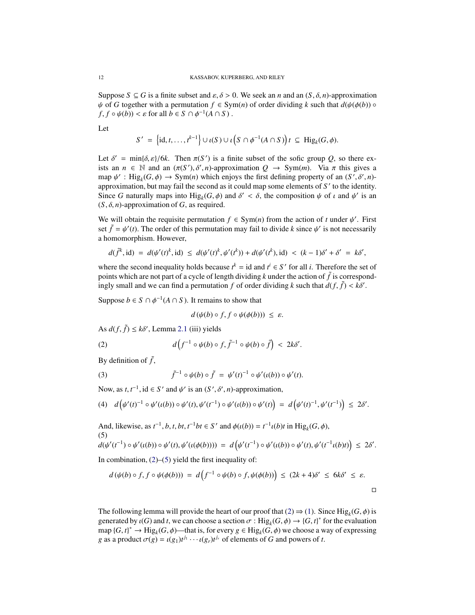Suppose  $S \subseteq G$  is a finite subset and  $\varepsilon, \delta > 0$ . We seek an *n* and an  $(S, \delta, n)$ -approximation  $\psi$  of *G* together with a permutation  $f \in Sym(n)$  of order dividing *k* such that  $d(\psi(\phi(b))) \circ$  $f, f \circ \psi(b)$   $\lt \varepsilon$  for all  $b \in S \cap \phi^{-1}(A \cap S)$ .

Let

$$
S' = \left\{ \mathrm{id}, t, \ldots, t^{k-1} \right\} \cup \iota(S) \cup \iota\left(S \cap \phi^{-1}(A \cap S)\right) t \subseteq \mathrm{Hig}_k(G, \phi).
$$

Let  $\delta' = \min{\{\delta, \varepsilon\}}/6k$ . Then  $\pi(S')$  is a finite subset of the sofic group *Q*, so there exists an  $n \in \mathbb{N}$  and an  $(\pi(S'), \delta', n)$ -approximation  $Q \to \text{Sym}(m)$ . Via  $\pi$  this gives a map  $\psi'$ : Hig<sub>k</sub>( $G, \phi$ )  $\rightarrow$  Sym(*n*) which enjoys the first defining property of an ( $S', \delta', n$ )approximation, but may fail the second as it could map some elements of *S* ′ to the identity. Since *G* naturally maps into  $\text{Hig}_k(G, \phi)$  and  $\delta' < \delta$ , the composition  $\psi$  of  $\iota$  and  $\psi'$  is an  $(S, \delta, n)$ -approximation of *G*, as required.

We will obtain the requisite permutation  $f \in \text{Sym}(n)$  from the action of *t* under  $\psi'$ . First set  $\tilde{f} = \psi'(t)$ . The order of this permutation may fail to divide *k* since  $\psi'$  is not necessarily a homomorphism. However,

$$
d(\tilde{f}^k, id) = d(\psi'(t)^k, id) \leq d(\psi'(t)^k, \psi'(t^k)) + d(\psi'(t^k), id) < (k-1)\delta' + \delta' = k\delta',
$$

where the second inequality holds because  $t^k =$  id and  $t^i \in S'$  for all *i*. Therefore the set of points which are not part of a cycle of length dividing *k* under the action of  $\tilde{f}$  is correspondingly small and we can find a permutation *f* of order dividing *k* such that  $d(f, \tilde{f}) < k\delta'$ .

Suppose  $b \in S \cap \phi^{-1}(A \cap S)$ . It remains to show that

<span id="page-11-0"></span>
$$
d(\psi(b) \circ f, f \circ \psi(\phi(b))) \leq \varepsilon.
$$

As  $d(f, \tilde{f}) \leq k\delta'$ , Lemma [2.1](#page-3-1) (iii) yields

(2) 
$$
d\left(f^{-1}\circ\psi(b)\circ f,\tilde{f}^{-1}\circ\psi(b)\circ\tilde{f}\right) < 2k\delta'.
$$

By definition of  $\tilde{f}$ ,

(3) 
$$
\tilde{f}^{-1} \circ \psi(b) \circ \tilde{f} = \psi'(t)^{-1} \circ \psi'(t(b)) \circ \psi'(t).
$$

Now, as  $t, t^{-1}$ ,  $id \in S'$  and  $\psi'$  is an  $(S', \delta', n)$ -approximation,

$$
(4) \quad d\left(\psi'(t)^{-1}\circ\psi'(t(b))\circ\psi'(t),\psi'(t^{-1})\circ\psi'(t(b))\circ\psi'(t)\right) = d\left(\psi'(t)^{-1},\psi'(t^{-1})\right) \leq 2\delta'.
$$

And, likewise, as  $t^{-1}$ , *b*, *t*, *bt*,  $t^{-1}bt \in S'$  and  $\phi(\iota(b)) = t^{-1}\iota(b)t$  in Hig<sub>*k*</sub>(*G*,  $\phi$ ), (5)

<span id="page-11-1"></span>
$$
d(\psi'(t^{-1}) \circ \psi'(u(b)) \circ \psi'(t), \psi'(u(\phi(b)))) = d(\psi'(t^{-1}) \circ \psi'(u(b)) \circ \psi'(t), \psi'(t^{-1}u(b)t)) \leq 2\delta'.
$$

In combination,  $(2)$ – $(5)$  yield the first inequality of:

$$
d(\psi(b) \circ f, f \circ \psi(\phi(b))) = d\left(f^{-1} \circ \psi(b) \circ f, \psi(\phi(b))\right) \le (2k+4)\delta' \le 6k\delta' \le \varepsilon.
$$

The following lemma will provide the heart of our proof that  $(2) \Rightarrow (1)$  $(2) \Rightarrow (1)$  $(2) \Rightarrow (1)$ . Since  $\text{Hig}_k(G, \phi)$  is generated by  $\iota(G)$  and *t*, we can choose a section  $\sigma$  : Hig<sub>k</sub>( $G, \phi$ )  $\to$  { $G, t$ }<sup>\*</sup> for the evaluation map  ${G, t}$ <sup>\*</sup>  $\to$  Hig<sub>k</sub> $(G, \phi)$ —that is, for every  $g \in$  Hig<sub>k</sub> $(G, \phi)$  we choose a way of expressing *g* as a product  $\sigma(g) = \iota(g_1)t^{j_1} \cdots \iota(g_r)t^{j_r}$  of elements of *G* and powers of *t*.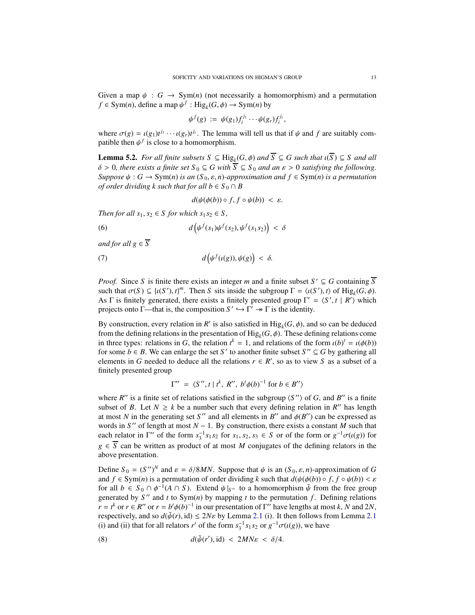Given a map  $\psi$ :  $G \rightarrow Sym(n)$  (not necessarily a homomorphism) and a permutation  $f \in \text{Sym}(n)$ , define a map  $\psi^f : \text{Hig}_k(G, \phi) \to \text{Sym}(n)$  by

$$
\psi^f(g) := \psi(g_1) f_i^{j_1} \cdots \psi(g_r) f_i^{j_r},
$$

where  $\sigma(g) = \iota(g_1)t^{j_1} \cdots \iota(g_r)t^{j_r}$ . The lemma will tell us that if  $\psi$  and  $f$  are suitably compatible then  $\psi^f$  is close to a homomorphism.

<span id="page-12-3"></span>**Lemma 5.2.** *For all finite subsets*  $S \subseteq \text{Hig}_k(G, \phi)$  *and*  $S \subseteq G$  *such that*  $\iota(S) \subseteq S$  *and all*  $\delta > 0$ , there exists a finite set  $S_0 \subseteq G$  with  $\overline{S} \subseteq S_0$  and an  $\varepsilon > 0$  satisfying the following. *Suppose*  $\psi$  : *G*  $\rightarrow$  Sym(*n*) *is an* (*S*<sub>0</sub>,  $\varepsilon$ , *n*)*-approximation and*  $f \in Sym(n)$  *is a permutation of order dividing k such that for all b*  $\in$  *S*<sub>0</sub>  $\cap$  *B* 

<span id="page-12-2"></span><span id="page-12-0"></span>
$$
d(\psi(\phi(b))\circ f, f\circ\psi(b)) < \varepsilon.
$$

*Then for all*  $s_1, s_2 \in S$  *for which*  $s_1 s_2 \in S$ *,* 

(6) 
$$
d\left(\psi^f(s_1)\psi^f(s_2),\psi^f(s_1s_2)\right) < \delta
$$

*and for all*  $g \in \overline{S}$ 

(7) 
$$
d\left(\psi^f(\iota(g)), \psi(g)\right) < \delta.
$$

*Proof.* Since *S* is finite there exists an integer *m* and a finite subset  $S' \subseteq G$  containing  $\overline{S}$ such that  $\sigma(S) \subseteq \{ \iota(S'), t \}^m$ . Then *S* sits inside the subgroup  $\Gamma = \langle \iota(S'), t \rangle$  of Hig<sub>k</sub>( $G, \phi$ ). As  $\Gamma$  is finitely generated, there exists a finitely presented group  $\Gamma' = \langle S', t | R' \rangle$  which projects onto  $\Gamma$ —that is, the composition  $S' \hookrightarrow \Gamma' \twoheadrightarrow \Gamma$  is the identity.

By construction, every relation in *R'* is also satisfied in  $\text{Hig}_k(G, \phi)$ , and so can be deduced from the defining relations in the presentation of  $\mathrm{Hig}_k(G, \phi)$ . These defining relations come in three types: relations in *G*, the relation  $t^k = 1$ , and relations of the form  $\iota(b)^t = \iota(\phi(b))$ for some  $b \in B$ . We can enlarge the set *S*' to another finite subset *S*"  $\subseteq G$  by gathering all elements in *G* needed to deduce all the relations  $r \in R'$ , so as to view *S* as a subset of a finitely presented group

$$
\Gamma'' = \langle S'', t \mid t^k, R'', b^t \phi(b)^{-1} \text{ for } b \in B'' \rangle
$$

where  $R''$  is a finite set of relations satisfied in the subgroup  $\langle S'' \rangle$  of *G*, and *B''* is a finite subset of *B*. Let  $N \geq k$  be a number such that every defining relation in *R''* has length at most *N* in the generating set *S''* and all elements in *B''* and  $\phi(B'')$  can be expressed as words in *S* ′′ of length at most *N* − 1. By construction, there exists a constant *M* such that each relator in  $\Gamma''$  of the form  $s_3^{-1} s_1 s_2$  for  $s_1, s_2, s_3 \in S$  or of the form or  $g^{-1}\sigma(\iota(g))$  for  $g \in \overline{S}$  can be written as product of at most *M* conjugates of the defining relators in the above presentation.

Define  $S_0 = (S'')^N$  and  $\varepsilon = \delta/8MN$ . Suppose that  $\psi$  is an  $(S_0, \varepsilon, n)$ -approximation of *G* and  $f \in \text{Sym}(n)$  is a permutation of order dividing k such that  $d(\psi(\phi(b)) \circ f, f \circ \psi(b)) < \varepsilon$ for all  $b \in S_0 \cap \phi^{-1}(A \cap S)$ . Extend  $\psi|_{S''}$  to a homomorphism  $\tilde{\psi}$  from the free group generated by  $S''$  and  $t$  to  $Sym(n)$  by mapping  $t$  to the permutation  $f$ . Defining relations  $r = t^k$  or  $r \in R''$  or  $r = b^t \phi(b)^{-1}$  in our presentation of Γ'' have lengths at most *k*, *N* and 2*N*, respectively, and so  $d(\tilde{\psi}(r), id) \leq 2N\varepsilon$  by Lemma [2.1](#page-3-1) (i). It then follows from Lemma 2.1 (i) and (ii) that for all relators *r'* of the form  $s_3^{-1} s_1 s_2$  or  $g^{-1} \sigma(\iota(g))$ , we have

<span id="page-12-1"></span>(8) 
$$
d(\tilde{\psi}(r'),\text{id}) < 2MN\varepsilon < \delta/4.
$$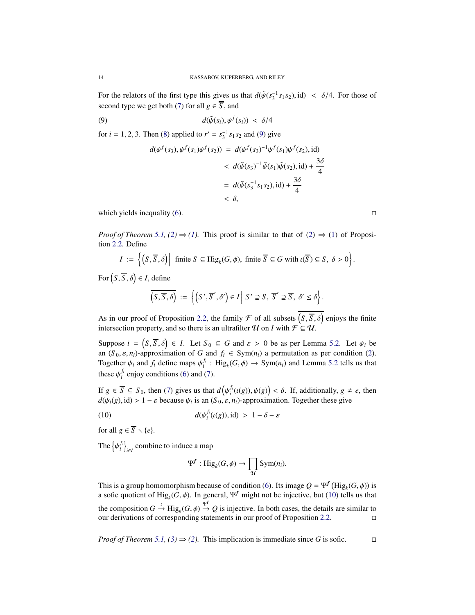For the relators of the first type this gives us that  $d(\tilde{\psi}(s_3^{-1} s_1 s_2), id) < \delta/4$ . For those of second type we get both [\(7\)](#page-12-0) for all  $g \in \overline{S}$ , and

$$
d(\tilde{\psi}(s_i), \psi^f(s_i)) < \delta/4
$$

for  $i = 1, 2, 3$ . Then [\(8\)](#page-12-1) applied to  $r' = s_3^{-1} s_1 s_2$  and [\(9\)](#page-13-0) give

<span id="page-13-0"></span>
$$
d(\psi^f(s_3), \psi^f(s_1)\psi^f(s_2)) = d(\psi^f(s_3)^{-1}\psi^f(s_1)\psi^f(s_2), \text{id})
$$
  

$$
< d(\tilde{\psi}(s_3)^{-1}\tilde{\psi}(s_1)\tilde{\psi}(s_2), \text{id}) + \frac{3\delta}{4}
$$
  

$$
= d(\tilde{\psi}(s_3^{-1}s_1s_2), \text{id}) + \frac{3\delta}{4}
$$
  

$$
< \delta,
$$

which yields inequality [\(6\)](#page-12-2).  $\Box$ 

*Proof of Theorem [5.1,](#page-10-1)* [\(2\)](#page-4-2)  $\Rightarrow$  [\(1\)](#page-4-1)*.* This proof is similar to that of (2)  $\Rightarrow$  (1) of Proposition [2.2.](#page-4-0) Define

$$
I := \left\{ \left( S, \overline{S}, \delta \right) \middle| \text{ finite } S \subseteq \text{Hig}_k(G, \phi), \text{ finite } \overline{S} \subseteq G \text{ with } \iota(\overline{S}) \subseteq S, \ \delta > 0 \right\}.
$$

 $For (S, \overline{S}, \delta) \in I, define$ 

$$
\overline{\left(S,\overline{S},\delta\right)}\;:=\;\Big\{\left(S',\overline{S}',\delta'\right)\in I\,\Big|\;S'\supseteq S,\;\overline{S}'\supseteq\overline{S},\;\delta'\leq\delta\Big\}.
$$

As in our proof of Proposition [2.2,](#page-4-0) the family  $\mathcal F$  of all subsets  $(S, \overline{S}, \delta)$  enjoys the finite intersection property, and so there is an ultrafilter  $\mathcal U$  on *I* with  $\mathcal F \subseteq \mathcal U$ .

Suppose  $i = (S, \overline{S}, \delta) \in I$ . Let  $S_0 \subseteq G$  and  $\varepsilon > 0$  be as per Lemma [5.2.](#page-12-3) Let  $\psi_i$  be an  $(S_0, \varepsilon, n_i)$ -approximation of *G* and  $f_i \in Sym(n_i)$  a permutation as per condition [\(2\)](#page-10-3). Together  $\psi_i$  and  $f_i$  define maps  $\psi_i^f$ : Hig<sub>k</sub>( $G, \phi$ )  $\rightarrow$  Sym( $n_i$ ) and Lemma [5.2](#page-12-3) tells us that these  $\psi_i^{f_i}$  enjoy conditions [\(6\)](#page-12-2) and [\(7\)](#page-12-0).

If  $g \in \overline{S} \subseteq S_0$ , then [\(7\)](#page-12-0) gives us that  $d(\psi_i^{f_i}(\iota(g)), \psi(g)) < \delta$ . If, additionally,  $g \neq e$ , then  $d(\psi_i(g), id) > 1 - \varepsilon$  because  $\psi_i$  is an  $(S_0, \varepsilon, n_i)$ -approximation. Together these give

(10) 
$$
d(\psi_i^{f_i}(\iota(g)), id) > 1 - \delta - \varepsilon
$$

for all  $g \in \overline{S} \setminus \{e\}.$ 

The  $\left\{\psi_i^{f_i}\right\}_{i \in I}$  combine to induce a map

<span id="page-13-1"></span>
$$
\Psi^f: \mathrm{Hig}_k(G, \phi) \to \prod_{\mathcal{U}} \mathrm{Sym}(n_i).
$$

This is a group homomorphism because of condition [\(6\)](#page-12-2). Its image  $Q = \Psi^f$  (Hig<sub>k</sub>(*G*,  $\phi$ )) is a sofic quotient of  $\text{Hig}_k(G, \phi)$ . In general,  $\Psi^f$  might not be injective, but [\(10\)](#page-13-1) tells us that the composition  $G \xrightarrow{\iota} \text{Hig}_{k}(G, \phi) \xrightarrow{\Psi} Q$  is injective. In both cases, the details are similar to our derivations of corresponding statements in our proof of Proposition [2.2.](#page-4-0)

*Proof of Theorem [5.1,](#page-10-1)*  $(3) \Rightarrow (2)$  $(3) \Rightarrow (2)$ *.* This implication is immediate since *G* is sofic.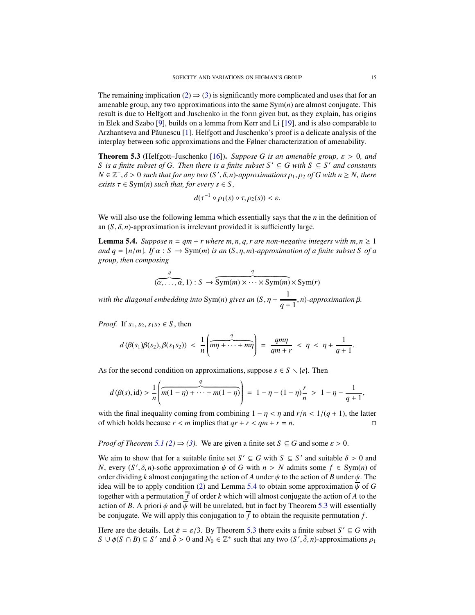The remaining implication [\(2\)](#page-10-3)  $\Rightarrow$  [\(3\)](#page-10-4) is significantly more complicated and uses that for an amenable group, any two approximations into the same Sym(*n*) are almost conjugate. This result is due to Helfgott and Juschenko in the form given but, as they explain, has origins in Elek and Szabo [\[9\]](#page-26-8), builds on a lemma from Kerr and Li [\[19\]](#page-26-9), and is also comparable to Arzhantseva and Păunescu [\[1\]](#page-25-2). Helfgott and Juschenko's proof is a delicate analysis of the interplay between sofic approximations and the Følner characterization of amenability.

<span id="page-14-1"></span>Theorem 5.3 (Helfgott–Juschenko [\[16\]](#page-26-6)). *Suppose G is an amenable group,* ε > 0*, and S* is a finite subset of G. Then there is a finite subset  $S' \subseteq G$  with  $S \subseteq S'$  and constants  $N \in \mathbb{Z}^+, \delta > 0$  such that for any two  $(S', \delta, n)$ -approximations  $\rho_1, \rho_2$  of G with  $n \geq N$ , there *exists*  $\tau \in \text{Sym}(n)$  *such that, for every*  $s \in S$ ,

$$
d(\tau^{-1}\circ\rho_1(s)\circ\tau,\rho_2(s))<\varepsilon.
$$

We will also use the following lemma which essentially says that the *n* in the definition of an  $(S, \delta, n)$ -approximation is irrelevant provided it is sufficiently large.

<span id="page-14-0"></span>**Lemma 5.4.** *Suppose n* =  $qm + r$  *where m, n, q, r are non-negative integers with m, n*  $\geq 1$ *and q* =  $\lfloor n/m \rfloor$ *. If*  $\alpha$  : *S*  $\rightarrow$  Sym(*m*) *is an* (*S*, *n*, *m*)*-approximation of a finite subset S of a group, then composing*

$$
\underbrace{q}_{(\alpha,\ldots,\alpha,\,1)}:S\to \underbrace{\text{Sym}(m)\times\cdots\times\text{Sym}(m)}\times\text{Sym}(r)
$$

*with the diagonal embedding into* Sym(*n*) *gives an*  $(S, \eta + \frac{1}{\sigma^2})$  $\frac{1}{q+1}$ , *n*)*-approximation* β.

*Proof.* If  $s_1$ ,  $s_2$ ,  $s_1 s_2 \in S$ , then

$$
d(\beta(s_1)\beta(s_2),\beta(s_1s_2)) < \frac{1}{n}\left(\overbrace{m\eta+\cdots+m\eta}^{q}\right) = \frac{qm\eta}{qm+r} < \eta < \eta+\frac{1}{q+1}.
$$

As for the second condition on approximations, suppose  $s \in S \setminus \{e\}$ . Then

$$
d(\beta(s),\mathrm{id}) > \frac{1}{n} \left( \overbrace{m(1-\eta)+\cdots+m(1-\eta)}^{q} \right) = 1 - \eta - (1-\eta)\frac{r}{n} > 1 - \eta - \frac{1}{q+1},
$$

with the final inequality coming from combining  $1 - \eta < \eta$  and  $r/n < 1/(q + 1)$ , the latter of which holds because  $r < m$  implies that  $qr + r < qm + r = n$ .

*Proof of Theorem [5.1](#page-10-1) [\(2\)](#page-10-3)*  $\Rightarrow$  [\(3\)](#page-10-4). We are given a finite set *S*  $\subseteq$  *G* and some  $\varepsilon$  > 0.

We aim to show that for a suitable finite set  $S' \subseteq G$  with  $S \subseteq S'$  and suitable  $\delta > 0$  and *N*, every  $(S', \delta, n)$ -sofic approximation  $\psi$  of *G* with  $n > N$  admits some  $f \in Sym(n)$  of order dividing *k* almost conjugating the action of *A* under  $\psi$  to the action of *B* under  $\psi$ . The idea will be to apply condition [\(2\)](#page-10-3) and Lemma [5.4](#page-14-0) to obtain some approximation  $\overline{\psi}$  of *G* together with a permutation  $\overline{f}$  of order *k* which will almost conjugate the action of *A* to the action of *B*. A priori  $\psi$  and  $\overline{\psi}$  will be unrelated, but in fact by Theorem [5.3](#page-14-1) will essentially be conjugate. We will apply this conjugation to  $\overline{f}$  to obtain the requisite permutation  $f$ .

Here are the details. Let  $\tilde{\varepsilon} = \varepsilon/3$ . By Theorem [5.3](#page-14-1) there exits a finite subset  $S' \subseteq G$  with  $S \cup \phi(S \cap B) \subseteq S'$  and  $\tilde{\delta} > 0$  and  $N_0 \in \mathbb{Z}^+$  such that any two  $(S', \tilde{\delta}, n)$ -approximations  $\rho_1$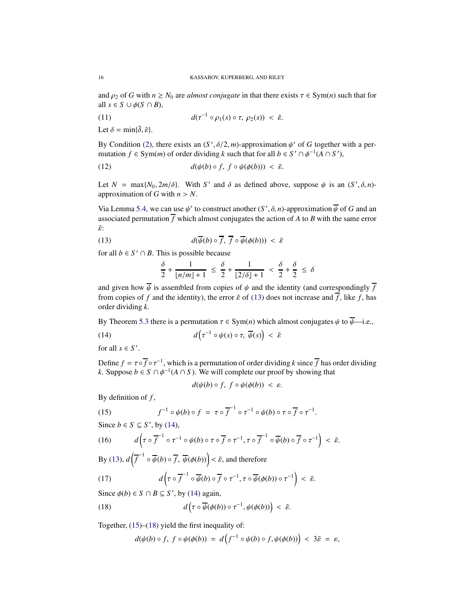and  $\rho_2$  of *G* with  $n \geq N_0$  are *almost conjugate* in that there exists  $\tau \in \text{Sym}(n)$  such that for all  $s \in S \cup \phi(S \cap B)$ ,

(11) 
$$
d(\tau^{-1} \circ \rho_1(s) \circ \tau, \ \rho_2(s)) < \tilde{\varepsilon}.
$$

Let  $\delta = \min\{\tilde{\delta}, \tilde{\varepsilon}\}.$ 

By Condition [\(2\)](#page-10-3), there exists an  $(S', \delta/2, m)$ -approximation  $\psi'$  of *G* together with a permutation *f*  $\in$  Sym(*m*) of order dividing *k* such that for all *b*  $\in$  *S'*  $\cap$   $\phi^{-1}(A \cap S')$ ,

(12) 
$$
d(\psi(b) \circ f, f \circ \psi(\phi(b))) < \tilde{\varepsilon}.
$$

Let  $N = \max\{N_0, 2m/\delta\}$ . With *S'* and  $\delta$  as defined above, suppose  $\psi$  is an  $(S', \delta, n)$ approximation of *G* with  $n > N$ .

Via Lemma [5.4,](#page-14-0) we can use  $\psi'$  to construct another  $(S', \delta, n)$ -approximation  $\overline{\psi}$  of *G* and an associated permutation  $\overline{f}$  which almost conjugates the action of *A* to *B* with the same error  $\tilde{\varepsilon}$ :

(13) 
$$
d(\overline{\psi}(b) \circ \overline{f}, \overline{f} \circ \overline{\psi}(\phi(b))) < \tilde{\varepsilon}
$$

for all  $b \in S' \cap B$ . This is possible because

<span id="page-15-0"></span>
$$
\frac{\delta}{2} + \frac{1}{\lfloor n/m \rfloor + 1} \le \frac{\delta}{2} + \frac{1}{\lfloor 2/\delta \rfloor + 1} < \frac{\delta}{2} + \frac{\delta}{2} \le \delta
$$

and given how  $\overline{\psi}$  is assembled from copies of  $\psi$  and the identity (and correspondingly  $\overline{f}$ from copies of *f* and the identity), the error  $\tilde{\varepsilon}$  of [\(13\)](#page-15-0) does not increase and  $\overline{f}$ , like *f*, has order dividing *k*.

By Theorem [5.3](#page-14-1) there is a permutation  $\tau \in \text{Sym}(n)$  which almost conjugates  $\psi$  to  $\overline{\psi}$ —i.e.,

(14) 
$$
d\left(\tau^{-1} \circ \psi(s) \circ \tau, \overline{\psi}(s)\right) < \tilde{\varepsilon}
$$

for all  $s \in S'$ .

Define  $f = \tau \circ \overline{f} \circ \tau^{-1}$ , which is a permutation of order dividing *k* since  $\overline{f}$  has order dividing *k*. Suppose *b* ∈ *S* ∩  $\phi^{-1}(A \cap S)$ . We will complete our proof by showing that

<span id="page-15-2"></span><span id="page-15-1"></span> $d(\psi(b) \circ f, f \circ \psi(\phi(b))) \leq \varepsilon.$ 

By definition of *f* ,

(15) 
$$
f^{-1} \circ \psi(b) \circ f = \tau \circ \overline{f}^{-1} \circ \tau^{-1} \circ \psi(b) \circ \tau \circ \overline{f} \circ \tau^{-1}.
$$

Since  $b \in S \subseteq S'$ , by [\(14\)](#page-15-1),

(16) 
$$
d\left(\tau\circ\overline{f}^{-1}\circ\tau^{-1}\circ\psi(b)\circ\tau\circ\overline{f}\circ\tau^{-1},\tau\circ\overline{f}^{-1}\circ\overline{\psi}(b)\circ\overline{f}\circ\tau^{-1}\right)<\tilde{\varepsilon}.
$$

By [\(13\)](#page-15-0),  $d\left(\overline{f}^{-1} \circ \overline{\psi}(b) \circ \overline{f}, \overline{\psi}(\phi(b))\right) < \tilde{\varepsilon}$ , and therefore

(17) 
$$
d\left(\tau \circ \overline{f}^{-1} \circ \overline{\psi}(b) \circ \overline{f} \circ \tau^{-1}, \tau \circ \overline{\psi}(\phi(b)) \circ \tau^{-1}\right) < \tilde{\varepsilon}.
$$

Since  $\phi(b) \in S \cap B \subseteq S'$ , by [\(14\)](#page-15-1) again,

(18) 
$$
d\left(\tau \circ \overline{\psi}(\phi(b)) \circ \tau^{-1}, \psi(\phi(b))\right) < \tilde{\varepsilon}.
$$

Together,  $(15)$ – $(18)$  yield the first inequality of:

<span id="page-15-3"></span>
$$
d(\psi(b)\circ f, \ f\circ \psi(\phi(b)) = d\left(f^{-1}\circ \psi(b)\circ f, \psi(\phi(b))\right) < 3\tilde{\varepsilon} = \varepsilon,
$$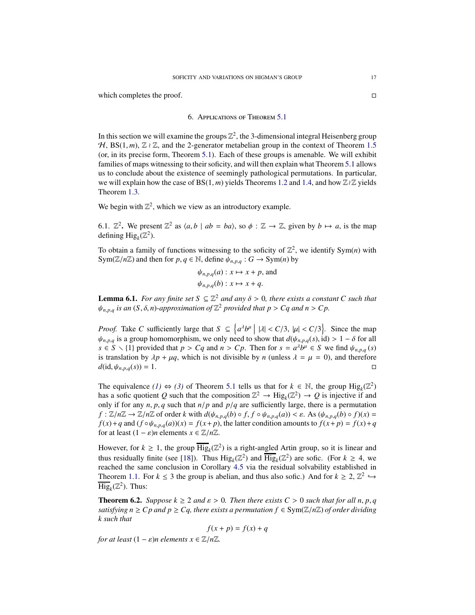<span id="page-16-0"></span>which completes the proof.  $\Box$ 

### 6. Applications of Theorem [5.1](#page-10-1)

In this section we will examine the groups  $\mathbb{Z}^2$ , the 3-dimensional integral Heisenberg group  $H$ , BS(1, *m*),  $\mathbb{Z} \wr \mathbb{Z}$ , and the 2-generator metabelian group in the context of Theorem [1.5](#page-2-1) (or, in its precise form, Theorem [5.1\)](#page-10-1). Each of these groups is amenable. We will exhibit families of maps witnessing to their soficity, and will then explain what Theorem [5.1](#page-10-1) allows us to conclude about the existence of seemingly pathological permutations. In particular, we will explain how the case of BS(1, *m*) yields Theorems [1.2](#page-1-1) and [1.4,](#page-2-0) and how Z≀Z yields Theorem [1.3.](#page-1-0)

We begin with  $\mathbb{Z}^2$ , which we view as an introductory example.

6.1.  $\mathbb{Z}^2$ . We present  $\mathbb{Z}^2$  as  $\langle a, b \mid ab = ba \rangle$ , so  $\phi : \mathbb{Z} \to \mathbb{Z}$ , given by  $b \mapsto a$ , is the map defining  $\text{Hig}_k(\mathbb{Z}^2)$ .

To obtain a family of functions witnessing to the soficity of  $\mathbb{Z}^2$ , we identify Sym(*n*) with Sym( $\mathbb{Z}/n\mathbb{Z}$ ) and then for  $p, q \in \mathbb{N}$ , define  $\psi_{n,p,q}: G \to \text{Sym}(n)$  by

$$
\psi_{n,p,q}(a): x \mapsto x + p
$$
, and  
 $\psi_{n,p,q}(b): x \mapsto x + q$ .

<span id="page-16-2"></span>**Lemma 6.1.** *For any finite set*  $S \subseteq \mathbb{Z}^2$  *and any*  $\delta > 0$ *, there exists a constant* C such that  $\psi_{n,p,q}$  *is an*  $(S, \delta, n)$ -approximation of  $\mathbb{Z}^2$  provided that  $p > Cq$  and  $n > Cp$ .

*Proof.* Take *C* sufficiently large that  $S \subseteq \{a^{\lambda}b^{\mu} \mid |\lambda| < C/3, |\mu| < C/3\}$ . Since the map  $\psi_{n,p,q}$  is a group homomorphism, we only need to show that  $d(\psi_{n,p,q}(s), id) > 1 - \delta$  for all  $s \in S \setminus \{1\}$  provided that  $p > Cq$  and  $n > Cp$ . Then for  $s = a^{\lambda}b^{\mu} \in S$  we find  $\psi_{n,p,q}(s)$ is translation by  $\lambda p + \mu q$ , which is not divisible by *n* (unless  $\lambda = \mu = 0$ ), and therefore  $d$ (id,  $\psi_{n,p,q}(s)$ ) = 1.

The equivalence *[\(1\)](#page-10-2)*  $\Leftrightarrow$  *[\(3\)](#page-10-4)* of Theorem [5.1](#page-10-1) tells us that for  $k \in \mathbb{N}$ , the group  $\text{Hig}_k(\mathbb{Z}^2)$ has a sofic quotient *Q* such that the composition  $\mathbb{Z}^2 \to \text{Hig}_k(\mathbb{Z}^2) \to Q$  is injective if and only if for any  $n$ ,  $p$ ,  $q$  such that  $n/p$  and  $p/q$  are sufficiently large, there is a permutation  $f: \mathbb{Z}/n\mathbb{Z} \to \mathbb{Z}/n\mathbb{Z}$  of order k with  $d(\psi_{n,p,q}(b) \circ f, f \circ \psi_{n,p,q}(a)) < \varepsilon$ . As  $(\psi_{n,p,q}(b) \circ f)(x) =$  $f(x) + q$  and  $(f \circ \psi_{n,p,q}(a))(x) = f(x+p)$ , the latter condition amounts to  $f(x+p) = f(x)+q$ for at least  $(1 - \varepsilon)n$  elements  $x \in \mathbb{Z}/n\mathbb{Z}$ .

However, for  $k \geq 1$ , the group  $\overline{\text{Hig}}_k(\mathbb{Z}^2)$  is a right-angled Artin group, so it is linear and thus residually finite (see [\[18\]](#page-26-17)). Thus  $\text{Hig}_k(\mathbb{Z}^2)$  and  $\overline{\text{Hig}}_k(\mathbb{Z}^2)$  are sofic. (For  $k \geq 4$ , we reached the same conclusion in Corollary [4.5](#page-9-1) via the residual solvability established in Theorem [1.1.](#page-1-2) For  $k \le 3$  the group is abelian, and thus also sofic.) And for  $k \ge 2$ ,  $\mathbb{Z}^2 \hookrightarrow$  $\overline{\text{Hig}}_k(\mathbb{Z}^2)$ . Thus:

<span id="page-16-1"></span>**Theorem 6.2.** *Suppose*  $k \geq 2$  *and*  $\varepsilon > 0$ *. Then there exists*  $C > 0$  *such that for all n, p, q satisfying*  $n \geq C$ *p* and  $p \geq C$ *q*, there exists a permutation  $f \in Sym(\mathbb{Z}/n\mathbb{Z})$  of order dividing *k such that*

$$
f(x+p) = f(x) + q
$$

*for at least*  $(1 - \varepsilon)n$  *elements*  $x \in \mathbb{Z}/n\mathbb{Z}$ *.*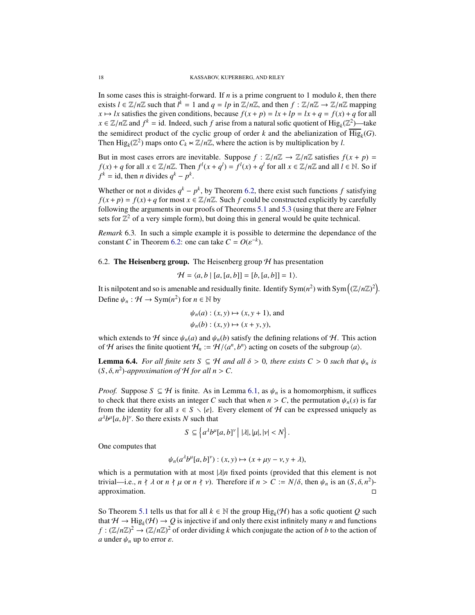In some cases this is straight-forward. If *n* is a prime congruent to 1 modulo *k*, then there exists  $l \in \mathbb{Z}/n\mathbb{Z}$  such that  $l^k = 1$  and  $q = lp$  in  $\mathbb{Z}/n\mathbb{Z}$ , and then  $f : \mathbb{Z}/n\mathbb{Z} \to \mathbb{Z}/n\mathbb{Z}$  mapping  $x \mapsto lx$  satisfies the given conditions, because  $f(x + p) = lx + lp = lx + q = f(x) + q$  for all  $x \in \mathbb{Z}/n\mathbb{Z}$  and  $f^k = id$ . Indeed, such *f* arise from a natural sofic quotient of  $\text{Hig}_k(\mathbb{Z}^2)$ —take the semidirect product of the cyclic group of order  $k$  and the abelianization of  $\text{Hig}_k(G)$ . Then  $\text{Hig}_k(\mathbb{Z}^2)$  maps onto  $C_k \ltimes \mathbb{Z}/n\mathbb{Z}$ , where the action is by multiplication by *l*.

But in most cases errors are inevitable. Suppose  $f : \mathbb{Z}/n\mathbb{Z} \to \mathbb{Z}/n\mathbb{Z}$  satisfies  $f(x + p) =$  $f(x) + q$  for all  $x \in \mathbb{Z}/n\mathbb{Z}$ . Then  $f^l(x + q^l) = f^l(x) + q^l$  for all  $x \in \mathbb{Z}/n\mathbb{Z}$  and all  $l \in \mathbb{N}$ . So if  $f^k = id$ , then *n* divides  $q^k - p^k$ .

Whether or not *n* divides  $q^k - p^k$ , by Theorem [6.2,](#page-16-1) there exist such functions *f* satisfying  $f(x + p) = f(x) + q$  for most  $x \in \mathbb{Z}/n\mathbb{Z}$ . Such *f* could be constructed explicitly by carefully following the arguments in our proofs of Theorems [5.1](#page-10-1) and [5.3](#page-14-1) (using that there are Følner sets for  $\mathbb{Z}^2$  of a very simple form), but doing this in general would be quite technical.

<span id="page-17-0"></span>*Remark* 6.3*.* In such a simple example it is possible to determine the dependance of the constant *C* in Theorem [6.2:](#page-16-1) one can take  $C = O(\varepsilon^{-k})$ .

6.2. The Heisenberg group. The Heisenberg group  $H$  has presentation

$$
\mathcal{H} = \langle a, b \mid [a, [a, b]] = [b, [a, b]] = 1 \rangle.
$$

It is nilpotent and so is amenable and residually finite. Identify  $Sym(n^2)$  with  $Sym((\mathbb{Z}/n\mathbb{Z})^2)$ . Define  $\psi_n : \mathcal{H} \to \text{Sym}(n^2)$  for  $n \in \mathbb{N}$  by

$$
\psi_n(a) : (x, y) \mapsto (x, y + 1), \text{ and}
$$
  

$$
\psi_n(b) : (x, y) \mapsto (x + y, y),
$$

which extends to H since  $\psi_n(a)$  and  $\psi_n(b)$  satisfy the defining relations of H. This action of H arises the finite quotient  $H_n := \mathcal{H} / \langle a^n, b^n \rangle$  acting on cosets of the subgroup  $\langle a \rangle$ .

**Lemma 6.4.** *For all finite sets*  $S \subseteq H$  *and all*  $\delta > 0$ *, there exists*  $C > 0$  *such that*  $\psi_n$  *is*  $(S, \delta, n^2)$ -approximation of  $H$  for all  $n > C$ .

*Proof.* Suppose  $S \subseteq H$  is finite. As in Lemma [6.1,](#page-16-2) as  $\psi_n$  is a homomorphism, it suffices to check that there exists an integer *C* such that when  $n > C$ , the permutation  $\psi_n(s)$  is far from the identity for all  $s \in S \setminus \{e\}$ . Every element of H can be expressed uniquely as  $a^{\lambda}b^{\mu}[a,b]^{\nu}$ . So there exists *N* such that

$$
S \subseteq \left\{ a^{\lambda} b^{\mu} [a, b]^{\nu} \middle| |\lambda|, |\mu|, |\nu| < N \right\}.
$$

One computes that

$$
\psi_n(a^{\lambda}b^{\mu}[a,b]^{\nu}):(x,y)\mapsto(x+\mu y-\nu,y+\lambda),
$$

which is a permutation with at most  $|\lambda|n$  fixed points (provided that this element is not trivial—i.e.,  $n \nmid \lambda$  or  $n \nmid \mu$  or  $n \nmid \nu$ ). Therefore if  $n > C := N/\delta$ , then  $\psi_n$  is an  $(S, \delta, n^2)$ approximation.

So Theorem [5.1](#page-10-1) tells us that for all  $k \in \mathbb{N}$  the group  $\text{Hig}_k(\mathcal{H})$  has a sofic quotient *Q* such that  $H \to \text{Hig}_k(H) \to Q$  is injective if and only there exist infinitely many *n* and functions  $f : (\mathbb{Z}/n\mathbb{Z})^2 \to (\mathbb{Z}/n\mathbb{Z})^2$  of order dividing *k* which conjugate the action of *b* to the action of *a* under  $\psi_n$  up to error  $\varepsilon$ .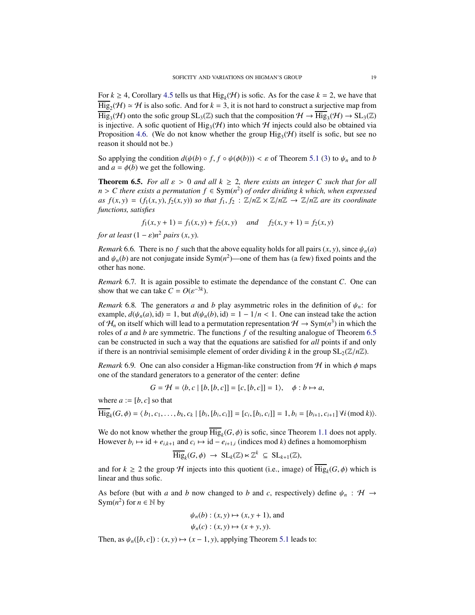For  $k \ge 4$ , Corollary [4.5](#page-9-1) tells us that Hig<sub>k</sub>( $H$ ) is sofic. As for the case  $k = 2$ , we have that  $\overline{\text{Hig}}_2(\mathcal{H}) \simeq \mathcal{H}$  is also sofic. And for  $k = 3$ , it is not hard to construct a surjective map from  $\text{Hig}_3(\mathcal{H})$  onto the sofic group  $\text{SL}_3(\mathbb{Z})$  such that the composition  $\mathcal{H} \to \text{Hig}_3(\mathcal{H}) \to \text{SL}_3(\mathbb{Z})$ is injective. A sofic quotient of  $\text{Hig}_{3}(\mathcal{H})$  into which H injects could also be obtained via Proposition [4.6.](#page-9-0) (We do not know whether the group  $\text{Hig}_3(\mathcal{H})$  itself is sofic, but see no reason it should not be.)

So applying the condition  $d(\psi(b) \circ f, f \circ \psi(\phi(b))) < \varepsilon$  of Theorem [5.1](#page-10-1) [\(3\)](#page-10-4) to  $\psi_n$  and to *b* and  $a = \phi(b)$  we get the following.

<span id="page-18-1"></span>**Theorem 6.5.** *For all*  $\varepsilon > 0$  *and all*  $k \ge 2$ *, there exists an integer C such that for all n* > *C* there exists a permutation  $f$  ∈ Sym( $n^2$ ) of order dividing k which, when expressed *as*  $f(x, y) = (f_1(x, y), f_2(x, y))$  *so that*  $f_1, f_2 : \mathbb{Z}/n\mathbb{Z} \times \mathbb{Z}/n\mathbb{Z} \rightarrow \mathbb{Z}/n\mathbb{Z}$  *are its coordinate functions, satisfies*

$$
f_1(x, y + 1) = f_1(x, y) + f_2(x, y)
$$
 and  $f_2(x, y + 1) = f_2(x, y)$ 

*for at least*  $(1 - \varepsilon)n^2$  *pairs*  $(x, y)$ *.* 

<span id="page-18-0"></span>*Remark* 6.6. There is no *f* such that the above equality holds for all pairs  $(x, y)$ , since  $\psi_n(a)$ and  $\psi_n(b)$  are not conjugate inside Sym $(n^2)$ —one of them has (a few) fixed points and the other has none.

*Remark* 6.7*.* It is again possible to estimate the dependance of the constant *C*. One can show that we can take  $C = O(\varepsilon^{-3k})$ .

*Remark* 6.8. The generators *a* and *b* play asymmetric roles in the definition of  $\psi_n$ : for example,  $d(\psi_n(a), id) = 1$ , but  $d(\psi_n(b), id) = 1 - 1/n < 1$ . One can instead take the action of  $\mathcal{H}_n$  on itself which will lead to a permutation representation  $\mathcal{H} \to \text{Sym}(n^3)$  in which the roles of *a* and *b* are symmetric. The functions *f* of the resulting analogue of Theorem [6.5](#page-18-1) can be constructed in such a way that the equations are satisfied for *all* points if and only if there is an nontrivial semisimple element of order dividing *k* in the group  $SL_2(\mathbb{Z}/n\mathbb{Z})$ .

*Remark* 6.9. One can also consider a Higman-like construction from  $H$  in which  $\phi$  maps one of the standard generators to a generator of the center: define

$$
G = \mathcal{H} = \langle b, c \mid [b, [b, c]] = [c, [b, c]] = 1 \rangle, \quad \phi : b \mapsto a,
$$

where  $a := [b, c]$  so that

 $\overline{\text{Hig}}_k(G, \phi) = \langle b_1, c_1, \dots, b_k, c_k | [b_i, [b_i, c_i]] = [c_i, [b_i, c_i]] = 1, b_i = [b_{i+1}, c_{i+1}] \forall i \text{ (mod } k \rangle).$ 

We do not know whether the group  $\text{Hig}_k(G, \phi)$  is sofic, since Theorem [1.1](#page-1-2) does not apply. However  $b_i \mapsto id + e_{i,k+1}$  and  $c_i \mapsto id - e_{i+1,i}$  (indices mod *k*) defines a homomorphism

$$
\overline{\mathrm{Hig}}_k(G,\phi) \, \to \, \mathrm{SL}_k(\mathbb{Z}) \ltimes \mathbb{Z}^k \, \subseteq \, \mathrm{SL}_{k+1}(\mathbb{Z}),
$$

and for  $k \ge 2$  the group H injects into this quotient (i.e., image) of  $\text{Hig}_k(G, \phi)$  which is linear and thus sofic.

As before (but with *a* and *b* now changed to *b* and *c*, respectively) define  $\psi_n$ :  $\mathcal{H} \rightarrow$ Sym( $n^2$ ) for  $n \in \mathbb{N}$  by

$$
\psi_n(b) : (x, y) \mapsto (x, y + 1), \text{ and}
$$

$$
\psi_n(c) : (x, y) \mapsto (x + y, y).
$$

Then, as  $\psi_n([b, c]) : (x, y) \mapsto (x - 1, y)$ , applying Theorem [5.1](#page-10-1) leads to: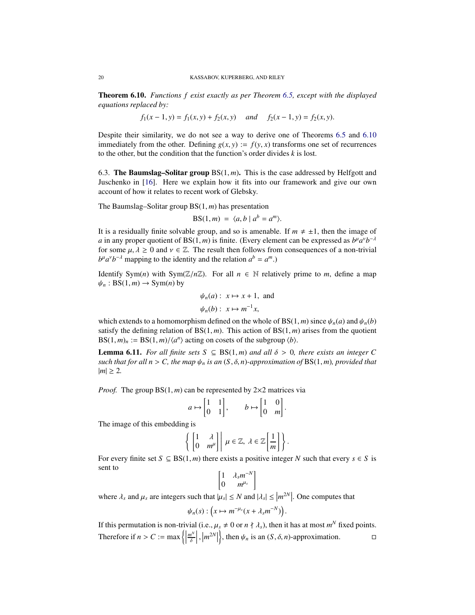<span id="page-19-0"></span>Theorem 6.10. *Functions f exist exactly as per Theorem [6.5,](#page-18-1) except with the displayed equations replaced by:*

$$
f_1(x-1, y) = f_1(x, y) + f_2(x, y)
$$
 and  $f_2(x-1, y) = f_2(x, y)$ .

Despite their similarity, we do not see a way to derive one of Theorems [6.5](#page-18-1) and [6.10](#page-19-0) immediately from the other. Defining  $g(x, y) := f(y, x)$  transforms one set of recurrences to the other, but the condition that the function's order divides *k* is lost.

<span id="page-19-1"></span>6.3. The Baumslag–Solitar group  $BS(1, m)$ . This is the case addressed by Helfgott and Juschenko in [\[16\]](#page-26-6). Here we explain how it fits into our framework and give our own account of how it relates to recent work of Glebsky.

The Baumslag–Solitar group BS(1, *m*) has presentation

$$
BS(1,m) = \langle a, b \mid a^b = a^m \rangle.
$$

It is a residually finite solvable group, and so is amenable. If  $m \neq \pm 1$ , then the image of *a* in any proper quotient of BS(1, *m*) is finite. (Every element can be expressed as  $b^{\mu}a^{\nu}b^{-\lambda}$ for some  $\mu, \lambda \geq 0$  and  $\nu \in \mathbb{Z}$ . The result then follows from consequences of a non-trivial  $b^{\mu} a^{\nu} b^{-\lambda}$  mapping to the identity and the relation  $a^{b} = a^{m}$ .)

Identify Sym(*n*) with Sym( $\mathbb{Z}/n\mathbb{Z}$ ). For all  $n \in \mathbb{N}$  relatively prime to *m*, define a map  $\psi_n$ : BS(1,*m*)  $\rightarrow$  Sym(*n*) by

$$
\psi_n(a): x \mapsto x + 1
$$
, and  
\n $\psi_n(b): x \mapsto m^{-1}x$ ,

which extends to a homomorphism defined on the whole of BS(1, *m*) since  $\psi_n(a)$  and  $\psi_n(b)$ satisfy the defining relation of  $BS(1, m)$ . This action of  $BS(1, m)$  arises from the quotient  $BS(1, m)_n := BS(1, m) / \langle a^n \rangle$  acting on cosets of the subgroup  $\langle b \rangle$ .

**Lemma 6.11.** *For all finite sets*  $S \subseteq BS(1,m)$  *and all*  $\delta > 0$ *, there exists an integer* C *such that for all n* > *C*, *the map*  $\psi_n$  *is an*  $(S, \delta, n)$ *-approximation of* BS(1, *m*)*, provided that*  $|m| \geq 2$ .

*Proof.* The group BS(1, *m*) can be represented by 2×2 matrices via

$$
a \mapsto \begin{bmatrix} 1 & 1 \\ 0 & 1 \end{bmatrix}, \qquad b \mapsto \begin{bmatrix} 1 & 0 \\ 0 & m \end{bmatrix}.
$$

The image of this embedding is

$$
\left\{ \begin{bmatrix} 1 & \lambda \\ 0 & m^{\mu} \end{bmatrix} \middle| \mu \in \mathbb{Z}, \lambda \in \mathbb{Z} \left[ \frac{1}{m} \right] \right\}.
$$

For every finite set  $S \subseteq BS(1, m)$  there exists a positive integer N such that every  $s \in S$  is sent to

$$
\begin{bmatrix} 1 & \lambda_s m^{-N} \\ 0 & m^{\mu_s} \end{bmatrix}
$$

where  $\lambda_s$  and  $\mu_s$  are integers such that  $|\mu_s| \le N$  and  $|\lambda_s| \le |m^{2N}|$ . One computes that

$$
\psi_n(s) : \left( x \mapsto m^{-\mu_s}(x + \lambda_s m^{-N}) \right).
$$

If this permutation is non-trivial (i.e.,  $\mu_s \neq 0$  or  $n \nmid \lambda_s$ ), then it has at most  $m^N$  fixed points. Therefore if  $n > C := \max \left\{ \left| \begin{array}{c} 0 & \text{if } n \leq C \end{array} \right. \right\}$ *m N*  $\left| \frac{n^N}{\delta} \right|$ ,  $\left| m^{2N} \right|$  $\Big\}$ , then  $\psi_n$  is an  $(S, \delta, n)$ -approximation.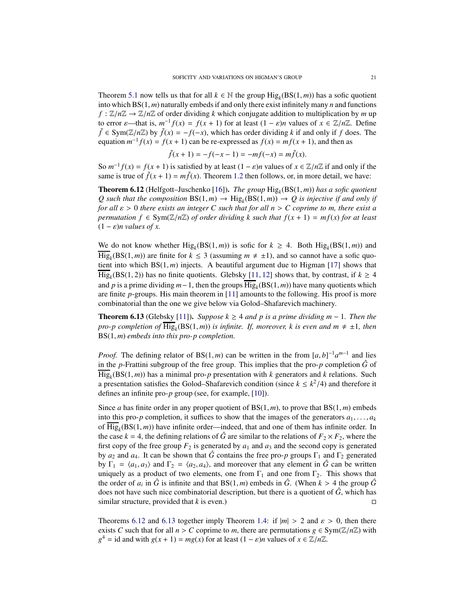Theorem [5.1](#page-10-1) now tells us that for all  $k \in \mathbb{N}$  the group  $\text{Hig}_k(\text{BS}(1,m))$  has a sofic quotient into which BS(1, *m*) naturally embeds if and only there exist infinitely many *n* and functions  $f : \mathbb{Z}/n\mathbb{Z} \to \mathbb{Z}/n\mathbb{Z}$  of order dividing *k* which conjugate addition to multiplication by *m* up to error  $\varepsilon$ —that is,  $m^{-1}f(x) = f(x + 1)$  for at least  $(1 - \varepsilon)n$  values of  $x \in \mathbb{Z}/n\mathbb{Z}$ . Define *f* ∈ Sym( $\mathbb{Z}/n\mathbb{Z}$ ) by  $\tilde{f}(x) = -f(-x)$ , which has order dividing *k* if and only if *f* does. The equation  $m^{-1}f(x) = f(x + 1)$  can be re-expressed as  $f(x) = mf(x + 1)$ , and then as

$$
\tilde{f}(x+1) = -f(-x-1) = -mf(-x) = m\tilde{f}(x).
$$

So  $m^{-1} f(x) = f(x + 1)$  is satisfied by at least  $(1 - \varepsilon)n$  values of  $x \in \mathbb{Z}/n\mathbb{Z}$  if and only if the same is true of  $\tilde{f}(x+1) = m\tilde{f}(x)$ . Theorem [1.2](#page-1-1) then follows, or, in more detail, we have:

<span id="page-20-0"></span>Theorem 6.12 (Helfgott–Juschenko [\[16\]](#page-26-6)). *The group* Hig*<sup>k</sup>* (BS(1, *m*)) *has a sofic quotient Q* such that the composition  $BS(1,m) \rightarrow Hig_k(BS(1,m)) \rightarrow Q$  is injective if and only if *for all* ε > 0 *there exists an integer C such that for all n* > *C coprime to m, there exist a permutation*  $f \in Sym(\mathbb{Z}/n\mathbb{Z})$  *of order dividing* k such that  $f(x + 1) = mf(x)$  for at least  $(1 - \varepsilon)n$  *values of x.* 

We do not know whether  $\text{Hig}_k(BS(1,m))$  is sofic for  $k \geq 4$ . Both  $\text{Hig}_k(BS(1,m))$  and  $\overline{\text{Hig}}_k(BS(1,m))$  are finite for  $k \leq 3$  (assuming  $m \neq \pm 1$ ), and so cannot have a sofic quotient into which  $BS(1, m)$  injects. A beautiful argument due to Higman [\[17\]](#page-26-2) shows that  $\text{Hig}_k(BS(1, 2))$  has no finite quotients. Glebsky [\[11,](#page-26-7) [12\]](#page-26-18) shows that, by contrast, if  $k \geq 4$ and *p* is a prime dividing *m*−1, then the groups Hig*<sup>k</sup>* (BS(1, *m*)) have many quotients which are finite *p*-groups. His main theorem in [\[11\]](#page-26-7) amounts to the following. His proof is more combinatorial than the one we give below via Golod–Shafarevich machinery.

<span id="page-20-1"></span>**Theorem 6.13** (Glebsky [\[11\]](#page-26-7)). *Suppose k* ≥ 4 *and p is a prime dividing m* − 1*. Then the pro-p completion of*  $\overline{\text{Hig}}_k(BS(1,m))$  *is infinite. If, moreover, k is even and*  $m \neq \pm 1$ *, then* BS(1, *m*) *embeds into this pro-p completion.*

*Proof.* The defining relator of BS(1,*m*) can be written in the from  $[a, b]^{-1}a^{m-1}$  and lies in the *p*-Frattini subgroup of the free group. This implies that the pro-*p* completion  $\hat{G}$  of  $\text{Hig}_k(\text{BS}(1,m))$  has a minimal pro-*p* presentation with *k* generators and *k* relations. Such a presentation satisfies the Golod–Shafarevich condition (since  $k \leq k^2/4$ ) and therefore it defines an infinite pro-*p* group (see, for example, [\[10\]](#page-26-19)).

Since *a* has finite order in any proper quotient of  $BS(1, m)$ , to prove that  $BS(1, m)$  embeds into this pro-*p* completion, it suffices to show that the images of the generators  $a_1, \ldots, a_k$ of Hig*<sup>k</sup>* (BS(1, *m*)) have infinite order—indeed, that and one of them has infinite order. In the case  $k = 4$ , the defining relations of  $\hat{G}$  are similar to the relations of  $F_2 \times F_2$ , where the first copy of the free group  $F_2$  is generated by  $a_1$  and  $a_3$  and the second copy is generated by  $a_2$  and  $a_4$ . It can be shown that  $\hat{G}$  contains the free pro- $p$  groups  $\Gamma_1$  and  $\Gamma_2$  generated by  $\Gamma_1 = \langle a_1, a_3 \rangle$  and  $\Gamma_2 = \langle a_2, a_4 \rangle$ , and moreover that any element in  $\hat{G}$  can be written uniquely as a product of two elements, one from  $\Gamma_1$  and one from  $\Gamma_2$ . This shows that the order of  $a_i$  in  $\hat{G}$  is infinite and that BS(1,*m*) embeds in  $\hat{G}$ . (When  $k > 4$  the group  $\hat{G}$ does not have such nice combinatorial description, but there is a quotient of  $\hat{G}$ , which has similar structure, provided that *k* is even.)  $\Box$ 

Theorems [6.12](#page-20-0) and [6.13](#page-20-1) together imply Theorem [1.4:](#page-2-0) if  $|m| > 2$  and  $\varepsilon > 0$ , then there exists *C* such that for all  $n > C$  coprime to *m*, there are permutations  $g \in Sym(\mathbb{Z}/n\mathbb{Z})$  with  $g^4$  = id and with  $g(x + 1) = mg(x)$  for at least  $(1 - \varepsilon)n$  values of  $x \in \mathbb{Z}/n\mathbb{Z}$ .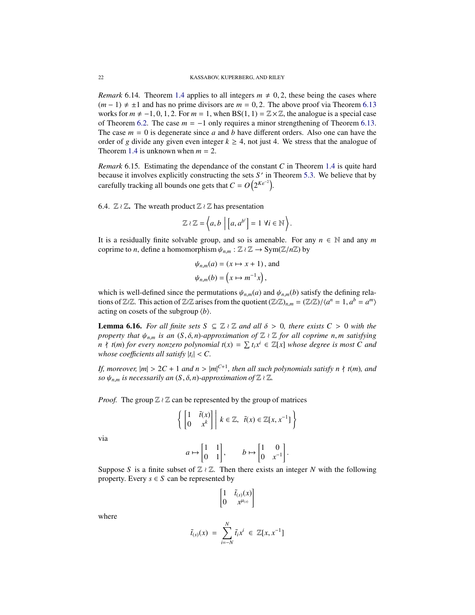*Remark* 6.14. Theorem [1.4](#page-2-0) applies to all integers  $m \neq 0, 2$ , these being the cases where  $(m-1) \neq \pm 1$  and has no prime divisors are  $m = 0, 2$ . The above proof via Theorem [6.13](#page-20-1) works for  $m \neq -1, 0, 1, 2$ . For  $m = 1$ , when BS(1, 1) =  $\mathbb{Z} \times \mathbb{Z}$ , the analogue is a special case of Theorem [6.2.](#page-16-1) The case  $m = -1$  only requires a minor strengthening of Theorem [6.13.](#page-20-1) The case  $m = 0$  is degenerate since *a* and *b* have different orders. Also one can have the order of *g* divide any given even integer  $k \geq 4$ , not just 4. We stress that the analogue of Theorem [1.4](#page-2-0) is unknown when  $m = 2$ .

<span id="page-21-1"></span>*Remark* 6.15*.* Estimating the dependance of the constant *C* in Theorem [1.4](#page-2-0) is quite hard because it involves explicitly constructing the sets *S* ′ in Theorem [5.3.](#page-14-1) We believe that by carefully tracking all bounds one gets that  $C = O(2^{K\varepsilon^{-2}})$ .

<span id="page-21-0"></span>6.4.  $\mathbb{Z} \wr \mathbb{Z}$ . The wreath product  $\mathbb{Z} \wr \mathbb{Z}$  has presentation

$$
\mathbb{Z} \wr \mathbb{Z} = \left\langle a, b \mid \left[ a, a^{b^i} \right] = 1 \; \forall i \in \mathbb{N} \right\rangle.
$$

It is a residually finite solvable group, and so is amenable. For any  $n \in \mathbb{N}$  and any *m* coprime to *n*, define a homomorphism  $\psi_{n,m} : \mathbb{Z} \wr \mathbb{Z} \to \text{Sym}(\mathbb{Z}/n\mathbb{Z})$  by

$$
\psi_{n,m}(a) = (x \mapsto x + 1), \text{ and}
$$
  

$$
\psi_{n,m}(b) = \left(x \mapsto m^{-1}x\right),
$$

which is well-defined since the permutations  $\psi_{n,m}(a)$  and  $\psi_{n,m}(b)$  satisfy the defining relations of Z≀Z. This action of Z≀Z arises from the quotient  $(\mathbb{Z}/\mathbb{Z})_{n,m} = (\mathbb{Z}/\mathbb{Z})/\langle a^n = 1, a^b = a^m \rangle$ acting on cosets of the subgroup  $\langle b \rangle$ .

<span id="page-21-2"></span>**Lemma 6.16.** For all finite sets  $S \subseteq \mathbb{Z} \wr \mathbb{Z}$  and all  $\delta > 0$ , there exists  $C > 0$  with the *property that*  $\psi_{n,m}$  *is an*  $(S, \delta, n)$ *-approximation of*  $\mathbb{Z} \wr \mathbb{Z}$  *for all coprime n, m satisfying*  $n \nmid t(m)$  *for every nonzero polynomial*  $t(x) = \sum t_i x^i \in \mathbb{Z}[x]$  *whose degree is most* C *and whose coefficients all satisfy*  $|t_i| < C$ .

*If, moreover,*  $|m| > 2C + 1$  *and*  $n > |m|^{C+1}$ *, then all such polynomials satisfy*  $n \nmid t(m)$ *, and so*  $\psi_{n,m}$  *is necessarily an*  $(S, \delta, n)$ *-approximation of*  $\mathbb{Z} \wr \mathbb{Z}$ *.* 

*Proof.* The group  $\mathbb{Z} \wr \mathbb{Z}$  can be represented by the group of matrices

$$
\left\{ \begin{bmatrix} 1 & \tilde{t}(x) \\ 0 & x^k \end{bmatrix} \middle| \ k \in \mathbb{Z}, \ \ \tilde{t}(x) \in \mathbb{Z}[x, x^{-1}] \right\}
$$

via

$$
a \mapsto \begin{bmatrix} 1 & 1 \\ 0 & 1 \end{bmatrix}, \qquad b \mapsto \begin{bmatrix} 1 & 0 \\ 0 & x^{-1} \end{bmatrix}.
$$

Suppose *S* is a finite subset of  $\mathbb{Z} \wr \mathbb{Z}$ . Then there exists an integer *N* with the following property. Every  $s \in S$  can be represented by

$$
\begin{bmatrix} 1 & \tilde{t}_{(s)}(x) \\ 0 & x^{\mu_{(s)}} \end{bmatrix}
$$

where

$$
\tilde{t}_{(s)}(x) = \sum_{i=-N}^{N} \tilde{t}_i x^i \in \mathbb{Z}[x, x^{-1}]
$$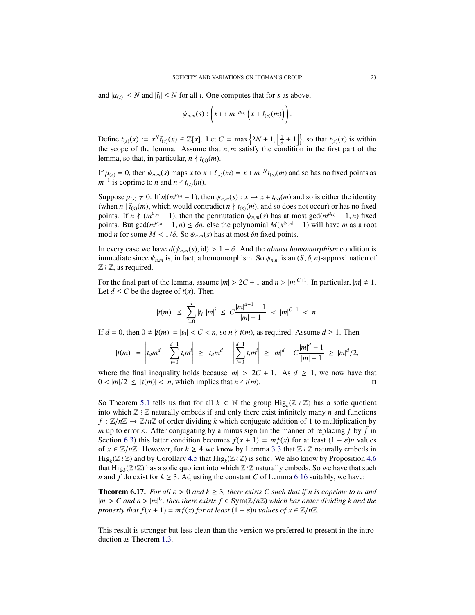and  $|\mu_{(s)}| \leq N$  and  $|\tilde{t}_i| \leq N$  for all *i*. One computes that for *s* as above,

$$
\psi_{n,m}(s): \left(x \mapsto m^{-\mu_{(s)}}\left(x+\tilde{t}_{(s)}(m)\right)\right).
$$

Define  $t_{(s)}(x) := x^N \tilde{t}_{(s)}(x) \in \mathbb{Z}[x]$ . Let  $C = \max\left\{2N + 1, \left\lfloor \frac{1}{\delta} + 1 \right\rfloor\right\}$ , so that  $t_{(s)}(x)$  is within the scope of the lemma. Assume that  $n, m$  satisfy the condition in the first part of the lemma, so that, in particular,  $n \nmid t_{(s)}(m)$ .

If  $\mu(s) = 0$ , then  $\psi_{n,m}(s)$  maps *x* to  $x + \tilde{t}(s)(m) = x + m^{-N}t(s)(m)$  and so has no fixed points as  $m^{-1}$  is coprime to *n* and  $n \nmid t_{(s)}(m)$ .

Suppose  $\mu_{(s)} \neq 0$ . If  $n|(m^{\mu_{(s)}}-1)$ , then  $\psi_{n,m}(s): x \mapsto x + \tilde{t}_{(s)}(m)$  and so is either the identity (when *n* |  $\tilde{t}_{(s)}(m)$ , which would contradict *n*  $\uparrow t_{(s)}(m)$ , and so does not occur) or has no fixed points. If  $n \nmid (m^{\mu(s)} - 1)$ , then the permutation  $\psi_{n,m}(s)$  has at most gcd $(m^{\mu(s)} - 1, n)$  fixed points. But gcd( $m^{\mu(s)} - 1, n$ )  $\leq \delta n$ , else the polynomial  $M(x^{|\mu(s)|} - 1)$  will have *m* as a root mod *n* for some  $M < 1/\delta$ . So  $\psi_{n,m}(s)$  has at most  $\delta n$  fixed points.

In every case we have  $d(\psi_{n,m}(s), id) > 1 - \delta$ . And the *almost homomorphism* condition is immediate since  $\psi_{n,m}$  is, in fact, a homomorphism. So  $\psi_{n,m}$  is an  $(S, \delta, n)$ -approximation of  $\mathbb{Z} \wr \mathbb{Z}$ , as required.

For the final part of the lemma, assume  $|m| > 2C + 1$  and  $n > |m|^{C+1}$ . In particular,  $|m| \neq 1$ . Let  $d \le C$  be the degree of  $t(x)$ . Then

$$
|t(m)| \leq \sum_{i=0}^d |t_i| |m|^i \leq C \frac{|m|^{d+1}-1}{|m|-1} < |m|^{C+1} < n.
$$

If  $d = 0$ , then  $0 \neq |t(m)| = |t_0| < C < n$ , so  $n \nmid t(m)$ , as required. Assume  $d \geq 1$ . Then

$$
|t(m)| = \left| t_d m^d + \sum_{i=0}^{d-1} t_i m^i \right| \geq |t_d m^d| - \left| \sum_{i=0}^{d-1} t_i m^i \right| \geq |m|^d - C \frac{|m|^d - 1}{|m| - 1} \geq |m|^d / 2,
$$

where the final inequality holds because  $|m| > 2C + 1$ . As  $d \ge 1$ , we now have that  $0 < |m|/2 \le |t(m)| < n$ , which implies that  $n \nmid t(m)$ .

So Theorem [5.1](#page-10-1) tells us that for all  $k \in \mathbb{N}$  the group  $\text{Hig}_k(\mathbb{Z} \wr \mathbb{Z})$  has a sofic quotient into which Z ≀ Z naturally embeds if and only there exist infinitely many *n* and functions  $f : \mathbb{Z}/n\mathbb{Z} \to \mathbb{Z}/n\mathbb{Z}$  of order dividing *k* which conjugate addition of 1 to multiplication by *m* up to error  $\varepsilon$ . After conjugating by a minus sign (in the manner of replacing f by  $\tilde{f}$  in Section [6.3\)](#page-19-1) this latter condition becomes  $f(x + 1) = mf(x)$  for at least  $(1 - \varepsilon)n$  values of  $x \in \mathbb{Z}/n\mathbb{Z}$ . However, for  $k \geq 4$  we know by Lemma [3.3](#page-6-0) that  $\mathbb{Z} \wr \mathbb{Z}$  naturally embeds in Hig*<sup>k</sup>* (Z ≀ Z) and by Corollary [4.5](#page-9-1) that Hig*<sup>k</sup>* (Z ≀ Z) is sofic. We also know by Proposition [4.6](#page-9-0) that  $\text{Hig}_3(\mathbb{Z}\wr \mathbb{Z})$  has a sofic quotient into which  $\mathbb{Z}\wr \mathbb{Z}$  naturally embeds. So we have that such *n* and *f* do exist for  $k \geq 3$ . Adjusting the constant *C* of Lemma [6.16](#page-21-2) suitably, we have:

<span id="page-22-0"></span>**Theorem 6.17.** *For all*  $\varepsilon > 0$  *and*  $k \geq 3$ *, there exists C such that if n is coprime to m and*  $|m| > C$  and  $n > |m|^C$ , then there exists  $f \in Sym(\mathbb{Z}/n\mathbb{Z})$  which has order dividing k and the *property that*  $f(x + 1) = mf(x)$  *for at least*  $(1 - \varepsilon)n$  *values of*  $x \in \mathbb{Z}/n\mathbb{Z}$ *.* 

This result is stronger but less clean than the version we preferred to present in the introduction as Theorem [1.3.](#page-1-0)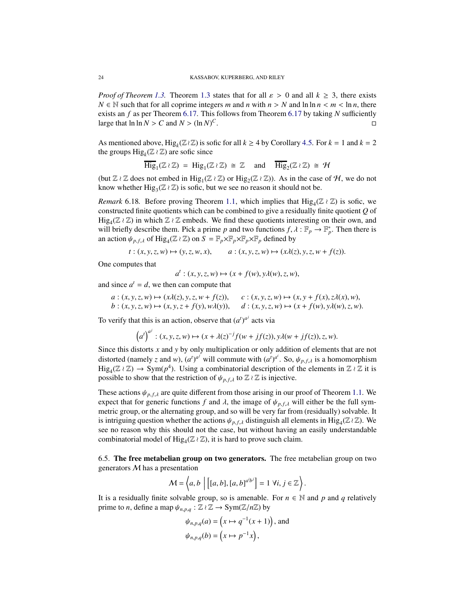*Proof of Theorem [1.3.](#page-1-0)* Theorem [1.3](#page-1-0) states that for all  $\varepsilon > 0$  and all  $k \ge 3$ , there exists  $N \in \mathbb{N}$  such that for all coprime integers *m* and *n* with  $n > N$  and  $\ln \ln n < m < \ln n$ , there exists an *f* as per Theorem [6.17.](#page-22-0) This follows from Theorem [6.17](#page-22-0) by taking *N* sufficiently large that  $\ln \ln N > C$  and  $N > (\ln N)^C$ .

As mentioned above, Hig<sub>k</sub>( $\mathbb{Z} \wr \mathbb{Z}$ ) is sofic for all  $k \ge 4$  by Corollary [4.5.](#page-9-1) For  $k = 1$  and  $k = 2$ the groups  $\text{Hig}_k(\mathbb{Z} \wr \mathbb{Z})$  are sofic since

$$
\overline{\mathrm{Hig}}_1(\mathbb{Z} \wr \mathbb{Z}) = \mathrm{Hig}_1(\mathbb{Z} \wr \mathbb{Z}) \cong \mathbb{Z} \quad \text{and} \quad \overline{\mathrm{Hig}}_2(\mathbb{Z} \wr \mathbb{Z}) \cong \mathcal{H}
$$

(but  $\mathbb{Z} \wr \mathbb{Z}$  does not embed in  $\text{Hig}_1(\mathbb{Z} \wr \mathbb{Z})$  or  $\text{Hig}_2(\mathbb{Z} \wr \mathbb{Z})$ ). As in the case of  $\mathcal{H}$ , we do not know whether  $\text{Hig}_{3}(\mathbb{Z} \wr \mathbb{Z})$  is sofic, but we see no reason it should not be.

*Remark* 6.18. Before proving Theorem [1.1,](#page-1-2) which implies that  $\text{Hig}_4(\mathbb{Z} \wr \mathbb{Z})$  is sofic, we constructed finite quotients which can be combined to give a residually finite quotient *Q* of  $\text{Hig}_4(\mathbb{Z} \wr \mathbb{Z})$  in which  $\mathbb{Z} \wr \mathbb{Z}$  embeds. We find these quotients interesting on their own, and will briefly describe them. Pick a prime *p* and two functions  $f, \lambda : \mathbb{F}_p \to \mathbb{F}_p^*$ . Then there is an action  $\psi_{p,f,\lambda}$  of  $\text{Hig}_{4}(\mathbb{Z} \wr \mathbb{Z})$  on  $S = \mathbb{F}_p \times \mathbb{F}_p \times \mathbb{F}_p \times \mathbb{F}_p$  defined by

$$
t: (x, y, z, w) \mapsto (y, z, w, x),
$$
  $a: (x, y, z, w) \mapsto (x\lambda(z), y, z, w + f(z)).$ 

One computes that

$$
a^t: (x, y, z, w) \mapsto (x + f(w), y\lambda(w), z, w),
$$

and since  $a^t = d$ , we then can compute that

$$
a: (x, y, z, w) \mapsto (x\lambda(z), y, z, w + f(z)), \quad c: (x, y, z, w) \mapsto (x, y + f(x), z\lambda(x), w),
$$
  

$$
b: (x, y, z, w) \mapsto (x, y, z + f(y), w\lambda(y)), \quad d: (x, y, z, w) \mapsto (x + f(w), y\lambda(w), z, w).
$$

To verify that this is an action, observe that  $(a^t)^{a^j}$  acts via

$$
(at)aj : (x, y, z, w) \mapsto (x + \lambda(z)-j f(w + jf(z)), y\lambda(w + jf(z)), z, w).
$$

Since this distorts *x* and *y* by only multiplication or only addition of elements that are not distorted (namely *z* and *w*),  $(a^t)^{a^j}$  will commute with  $(a^t)^{a^i}$ . So,  $\psi_{p,f,\lambda}$  is a homomorphism  $\text{Hig}_4(\mathbb{Z} \wr \mathbb{Z}) \to \text{Sym}(p^4)$ . Using a combinatorial description of the elements in  $\mathbb{Z} \wr \mathbb{Z}$  it is possible to show that the restriction of  $\psi_{p,f,\lambda}$  to  $\mathbb{Z} \wr \mathbb{Z}$  is injective.

These actions  $\psi_{p,f,\lambda}$  are quite different from those arising in our proof of Theorem [1.1.](#page-1-2) We expect that for generic functions *f* and  $\lambda$ , the image of  $\psi_{p,f,\lambda}$  will either be the full symmetric group, or the alternating group, and so will be very far from (residually) solvable. It is intriguing question whether the actions  $\psi_{p,f,\lambda}$  distinguish all elements in Hig<sub>4</sub>( $\mathbb{Z} \wr \mathbb{Z}$ ). We see no reason why this should not the case, but without having an easily understandable combinatorial model of  $\text{Hig}_4(\mathbb{Z} \wr \mathbb{Z})$ , it is hard to prove such claim.

6.5. The free metabelian group on two generators. The free metabelian group on two generators M has a presentation

$$
\mathcal{M} = \left\langle a, b \mid \left[ [a, b], [a, b]^{a' b'} \right] = 1 \; \forall i, j \in \mathbb{Z} \right\rangle.
$$

It is a residually finite solvable group, so is amenable. For  $n \in \mathbb{N}$  and p and q relatively prime to *n*, define a map  $\psi_{n,p,q}: \mathbb{Z} \wr \mathbb{Z} \to \text{Sym}(\mathbb{Z}/n\mathbb{Z})$  by

$$
\psi_{n,p,q}(a) = \left(x \mapsto q^{-1}(x+1)\right), \text{ and}
$$

$$
\psi_{n,p,q}(b) = \left(x \mapsto p^{-1}x\right),
$$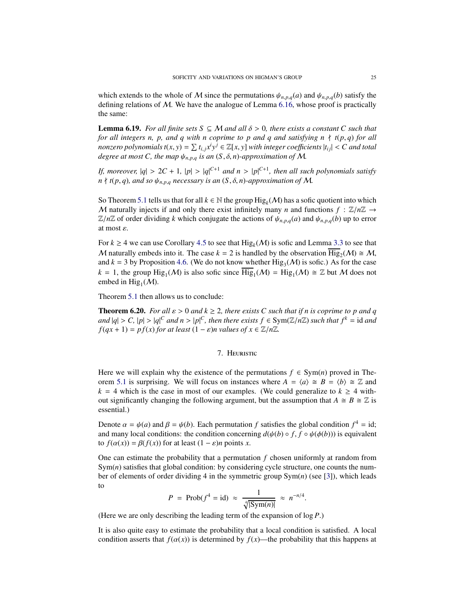which extends to the whole of M since the permutations  $\psi_{n,p,q}(a)$  and  $\psi_{n,p,q}(b)$  satisfy the defining relations of M. We have the analogue of Lemma [6.16,](#page-21-2) whose proof is practically the same:

**Lemma 6.19.** *For all finite sets*  $S \subseteq M$  *and all*  $\delta > 0$ *, there exists a constant* C *such that for all integers n, p, and q with n coprime to p and q and satisfying n* ∤ *t*(*p*, *q*) *for all nonzero polynomials*  $t(x, y) = \sum t_{i,j} x^i y^j \in \mathbb{Z}[x, y]$  *with integer coefficients*  $|t_{ij}| < C$  *and total degree at most C, the map*  $\psi_{n,p,q}$  *is an*  $(S, \delta, n)$ *-approximation of* M.

*If, moreover,*  $|q| > 2C + 1$ ,  $|p| > |q|^{C+1}$  *and n* >  $|p|^{C+1}$ , *then all such polynomials satisfy*  $n \nmid t(p, q)$ *, and so*  $\psi_{n, p, q}$  *necessary is an*  $(S, \delta, n)$ *-approximation of* M.

So Theorem [5.1](#page-10-1) tells us that for all  $k \in \mathbb{N}$  the group  $\text{Hig}_k(\mathcal{M})$  has a sofic quotient into which M naturally injects if and only there exist infinitely many *n* and functions  $f : \mathbb{Z}/n\mathbb{Z} \rightarrow$  $\mathbb{Z}/n\mathbb{Z}$  of order dividing *k* which conjugate the actions of  $\psi_{n,p,q}(a)$  and  $\psi_{n,p,q}(b)$  up to error at most ε.

For  $k \ge 4$  we can use Corollary [4.5](#page-9-1) to see that  $\text{Hig}_k(\mathcal{M})$  is sofic and Lemma [3.3](#page-6-0) to see that M naturally embeds into it. The case  $k = 2$  is handled by the observation  $\overline{\text{Hig}}_2(\mathcal{M}) \cong \mathcal{M}$ , and  $k = 3$  by Proposition [4.6.](#page-9-0) (We do not know whether Hig<sub>3</sub>( $M$ ) is sofic.) As for the case  $k = 1$ , the group  $\text{Hig}_1(\mathcal{M})$  is also sofic since  $\overline{\text{Hig}}_1(\mathcal{M}) = \text{Hig}_1(\mathcal{M}) \cong \mathbb{Z}$  but M does not embed in  $\text{Hig}_1(\mathcal{M})$ .

Theorem [5.1](#page-10-1) then allows us to conclude:

<span id="page-24-0"></span>**Theorem 6.20.** *For all*  $\varepsilon > 0$  *and*  $k \geq 2$ *, there exists C such that if n is coprime to p and q and*  $|q| > C$ ,  $|p| > |q|^C$  *and*  $n > |p|^C$ , *then there exists*  $f \in Sym(\mathbb{Z}/n\mathbb{Z})$  *such that*  $f^k = id$  *and*  $f(qx + 1) = pf(x)$  *for at least*  $(1 - \varepsilon)n$  *values of*  $x \in \mathbb{Z}/n\mathbb{Z}$ *.* 

## 7. Heuristic

Here we will explain why the existence of the permutations  $f \in Sym(n)$  proved in The-orem [5.1](#page-10-1) is surprising. We will focus on instances where  $A = \langle a \rangle \cong B = \langle b \rangle \cong \mathbb{Z}$  and  $k = 4$  which is the case in most of our examples. (We could generalize to  $k \geq 4$  without significantly changing the following argument, but the assumption that  $A \cong B \cong \mathbb{Z}$  is essential.)

Denote  $\alpha = \psi(a)$  and  $\beta = \psi(b)$ . Each permutation *f* satisfies the global condition  $f^4 = id$ ; and many local conditions: the condition concerning  $d(\psi(b) \circ f, f \circ \psi(\phi(b)))$  is equivalent to  $f(\alpha(x)) = \beta(f(x))$  for at least  $(1 - \varepsilon)n$  points *x*.

One can estimate the probability that a permutation  $f$  chosen uniformly at random from  $Sym(n)$  satisfies that global condition: by considering cycle structure, one counts the number of elements of order dividing 4 in the symmetric group Sym(*n*) (see [\[3\]](#page-25-3)), which leads to

$$
P = \text{Prob}(f^4 = \text{id}) \approx \frac{1}{\sqrt[4]{|\text{Sym}(n)|}} \approx n^{-n/4}.
$$

(Here we are only describing the leading term of the expansion of log *P*.)

It is also quite easy to estimate the probability that a local condition is satisfied. A local condition asserts that  $f(\alpha(x))$  is determined by  $f(x)$ —the probability that this happens at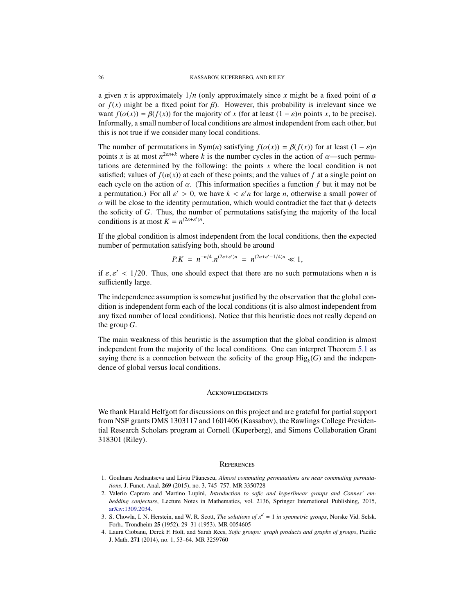a given *x* is approximately  $1/n$  (only approximately since *x* might be a fixed point of  $\alpha$ or  $f(x)$  might be a fixed point for  $\beta$ ). However, this probability is irrelevant since we want  $f(\alpha(x)) = \beta(f(x))$  for the majority of *x* (for at least  $(1 - \varepsilon)n$  points *x*, to be precise). Informally, a small number of local conditions are almost independent from each other, but this is not true if we consider many local conditions.

The number of permutations in Sym(*n*) satisfying  $f(\alpha(x)) = \beta(f(x))$  for at least  $(1 - \varepsilon)n$ points *x* is at most  $n^{2\epsilon n+k}$  where *k* is the number cycles in the action of  $\alpha$ —such permutations are determined by the following: the points *x* where the local condition is not satisfied; values of  $f(\alpha(x))$  at each of these points; and the values of f at a single point on each cycle on the action of  $\alpha$ . (This information specifies a function f but it may not be a permutation.) For all  $\varepsilon' > 0$ , we have  $k < \varepsilon' n$  for large *n*, otherwise a small power of  $\alpha$  will be close to the identity permutation, which would contradict the fact that  $\psi$  detects the soficity of *G*. Thus, the number of permutations satisfying the majority of the local conditions is at most  $K = n^{(2\varepsilon + \varepsilon')n}$ .

If the global condition is almost independent from the local conditions, then the expected number of permutation satisfying both, should be around

$$
P.K = n^{-n/4}.n^{(2\varepsilon + \varepsilon')n} = n^{(2\varepsilon + \varepsilon' - 1/4)n} \ll 1,
$$

if  $\varepsilon$ ,  $\varepsilon'$  < 1/20. Thus, one should expect that there are no such permutations when *n* is sufficiently large.

The independence assumption is somewhat justified by the observation that the global condition is independent form each of the local conditions (it is also almost independent from any fixed number of local conditions). Notice that this heuristic does not really depend on the group *G*.

The main weakness of this heuristic is the assumption that the global condition is almost independent from the majority of the local conditions. One can interpret Theorem [5.1](#page-10-1) as saying there is a connection between the soficity of the group  $\text{Hig}_k(G)$  and the independence of global versus local conditions.

### Acknowledgements

We thank Harald Helfgott for discussions on this project and are grateful for partial support from NSF grants DMS 1303117 and 1601406 (Kassabov), the Rawlings College Presidential Research Scholars program at Cornell (Kuperberg), and Simons Collaboration Grant 318301 (Riley).

#### **REFERENCES**

- <span id="page-25-2"></span>1. Goulnara Arzhantseva and Liviu Păunescu, Almost commuting permutations are near commuting permuta*tions*, J. Funct. Anal. 269 (2015), no. 3, 745–757. MR 3350728
- <span id="page-25-1"></span>2. Valerio Capraro and Martino Lupini, *Introduction to sofic and hyperlinear groups and Connes' embedding conjecture*, Lecture Notes in Mathematics, vol. 2136, Springer International Publishing, 2015, [arXiv:1309.2034.](https://arxiv.org/abs/1309.2034)
- <span id="page-25-3"></span>3. S. Chowla, I. N. Herstein, and W. R. Scott, *The solutions of x<sup>d</sup>* = 1 *in symmetric groups*, Norske Vid. Selsk. Forh., Trondheim 25 (1952), 29–31 (1953). MR 0054605
- <span id="page-25-0"></span>4. Laura Ciobanu, Derek F. Holt, and Sarah Rees, *Sofic groups: graph products and graphs of groups*, Pacific J. Math. 271 (2014), no. 1, 53–64. MR 3259760